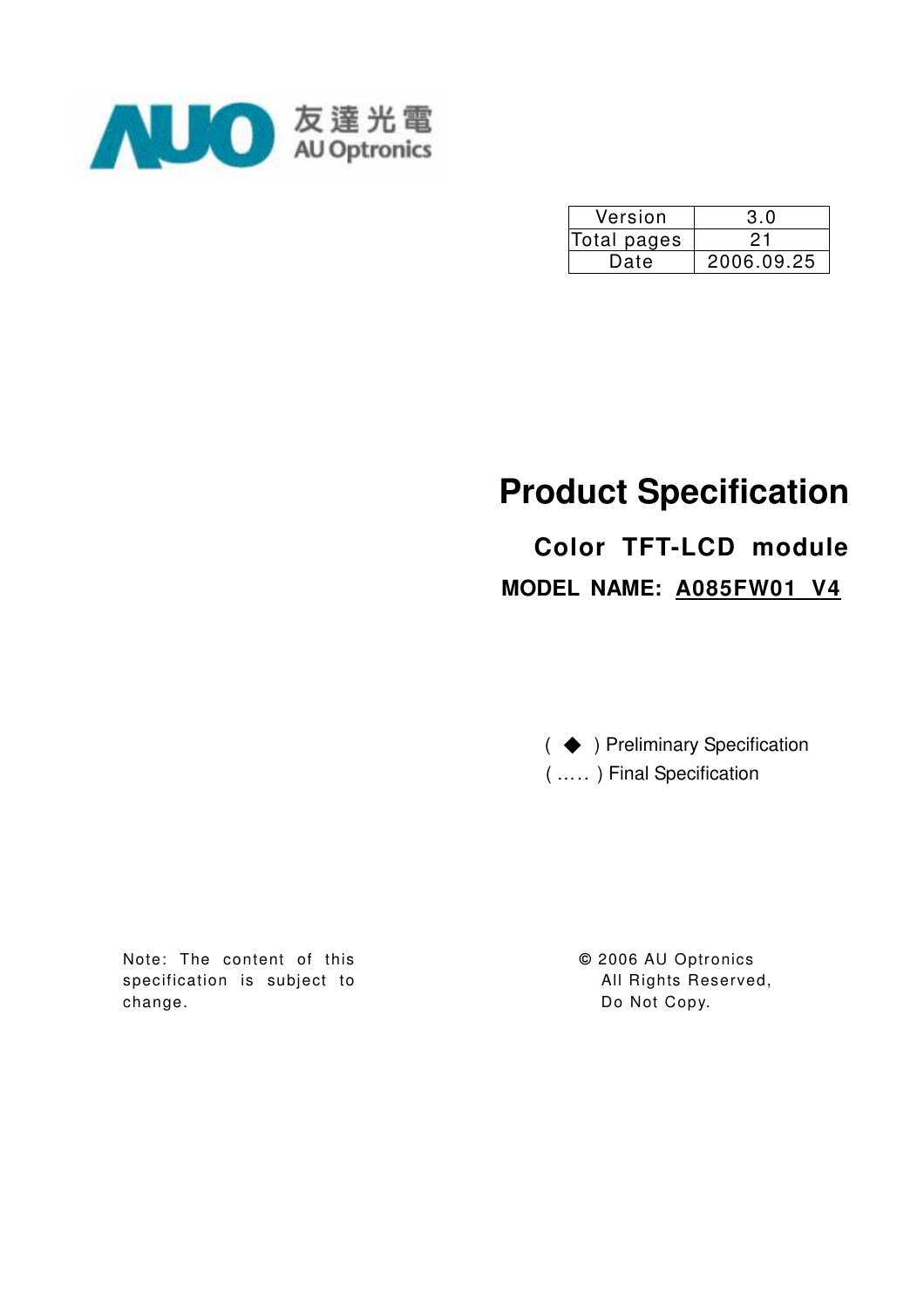

| Version     | 3.0        |
|-------------|------------|
| Total pages |            |
| Date        | 2006.09.25 |

# **Product Specification**

# **Color TFT-LCD module MODEL NAME: A085FW01 V4**

( ◆ ) Preliminary Specification ( ….. ) Final Specification

Note: The content of this specification is subject to change.

**©** 2006 AU Optronics All Rights Reserved, Do Not Copy.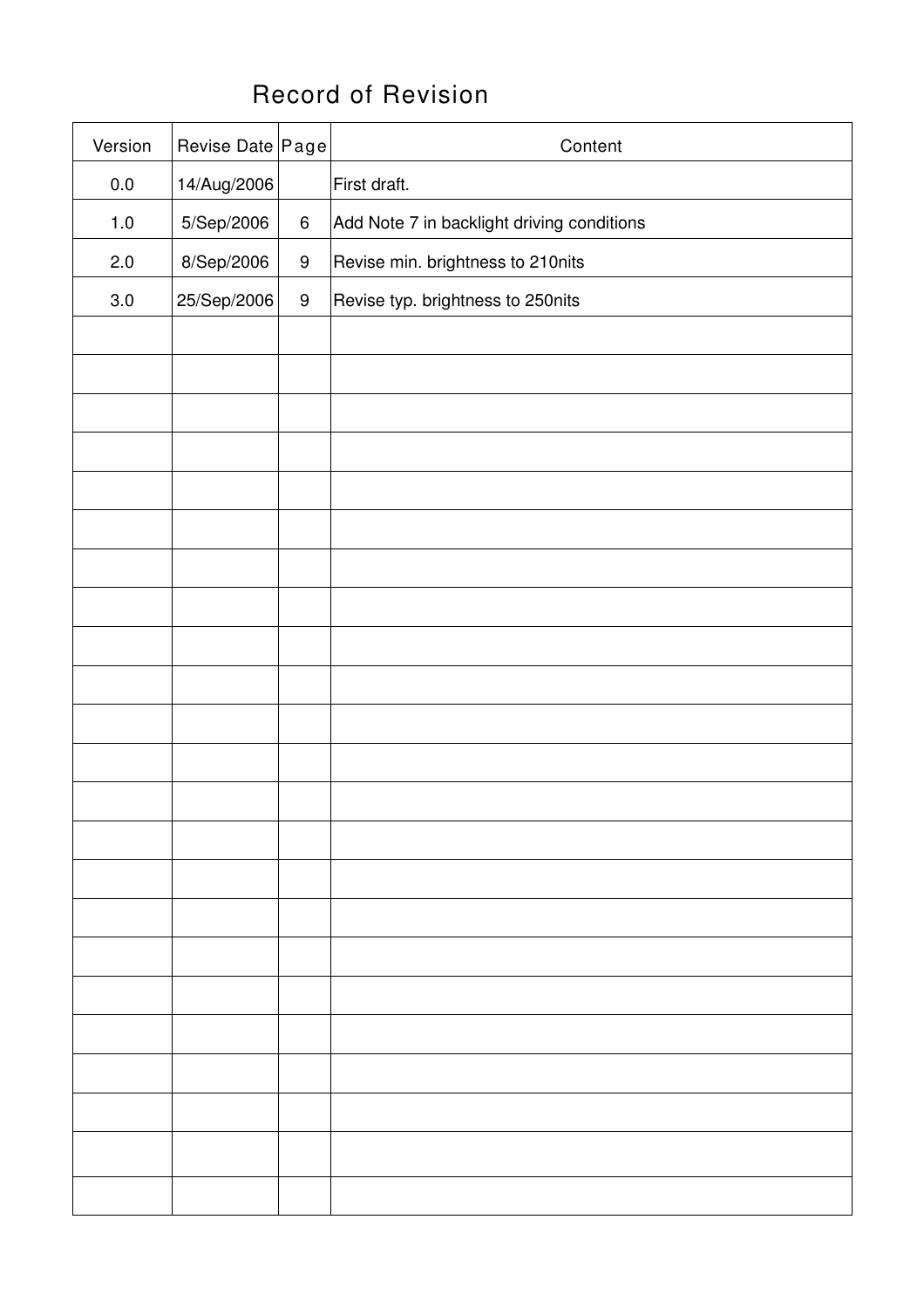## Record of Revision

| Version | Revise Date Page |                  | Content                                    |
|---------|------------------|------------------|--------------------------------------------|
| 0.0     | 14/Aug/2006      |                  | First draft.                               |
| $1.0$   | 5/Sep/2006       | $\,6\,$          | Add Note 7 in backlight driving conditions |
| 2.0     | 8/Sep/2006       | $\boldsymbol{9}$ | Revise min. brightness to 210nits          |
| 3.0     | 25/Sep/2006      | $\boldsymbol{9}$ | Revise typ. brightness to 250nits          |
|         |                  |                  |                                            |
|         |                  |                  |                                            |
|         |                  |                  |                                            |
|         |                  |                  |                                            |
|         |                  |                  |                                            |
|         |                  |                  |                                            |
|         |                  |                  |                                            |
|         |                  |                  |                                            |
|         |                  |                  |                                            |
|         |                  |                  |                                            |
|         |                  |                  |                                            |
|         |                  |                  |                                            |
|         |                  |                  |                                            |
|         |                  |                  |                                            |
|         |                  |                  |                                            |
|         |                  |                  |                                            |
|         |                  |                  |                                            |
|         |                  |                  |                                            |
|         |                  |                  |                                            |
|         |                  |                  |                                            |
|         |                  |                  |                                            |
|         |                  |                  |                                            |
|         |                  |                  |                                            |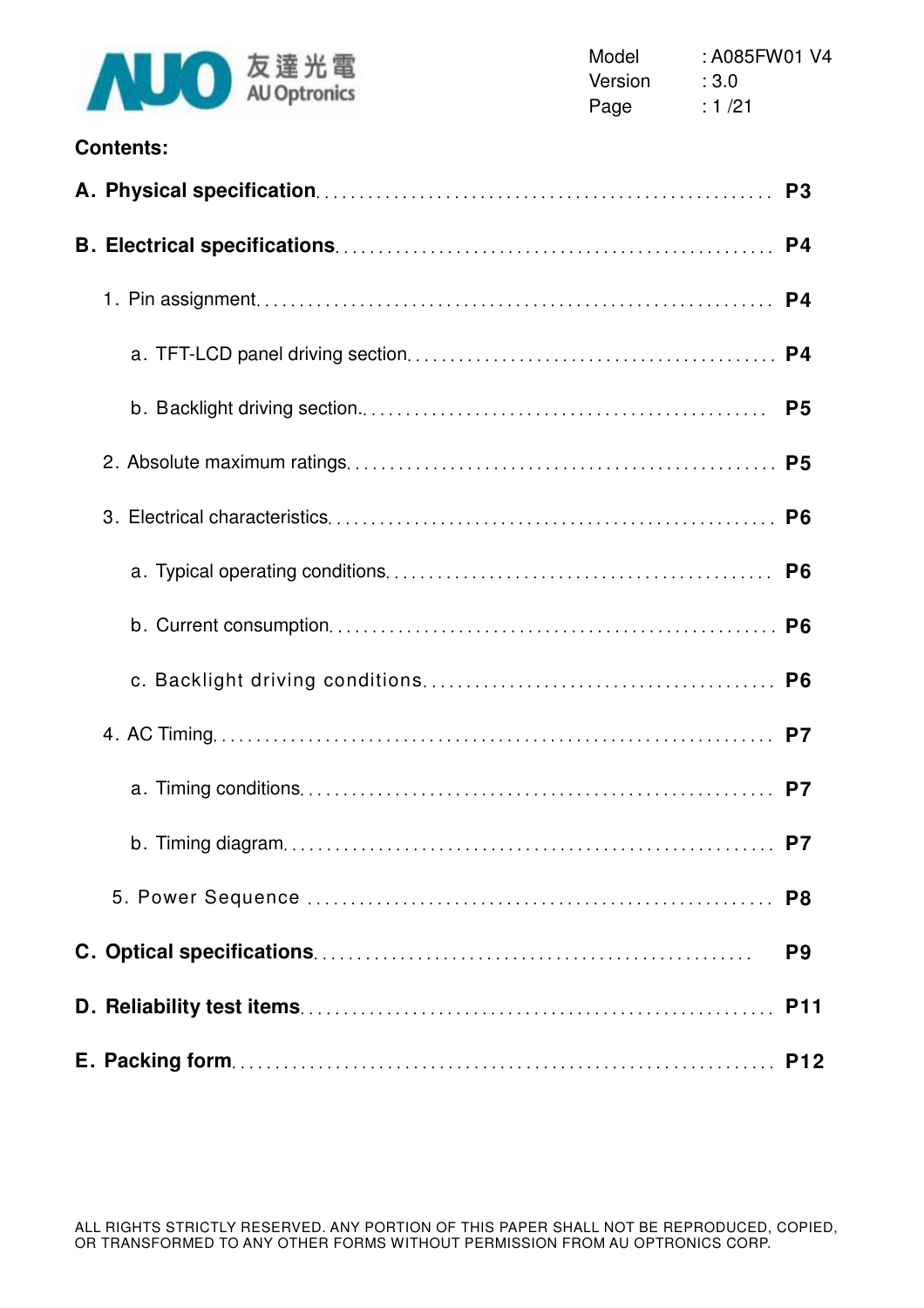

| <b>Contents:</b> |                |
|------------------|----------------|
|                  | P <sub>3</sub> |
|                  |                |
|                  | P4             |
|                  |                |
|                  | P <sub>5</sub> |
|                  |                |
|                  | P <sub>6</sub> |
|                  | P <sub>6</sub> |
|                  |                |
|                  | P <sub>6</sub> |
|                  |                |
|                  | P7             |
|                  | P7             |
|                  | P <sub>8</sub> |
|                  | P <sub>9</sub> |
|                  | <b>P11</b>     |
|                  | <b>P12</b>     |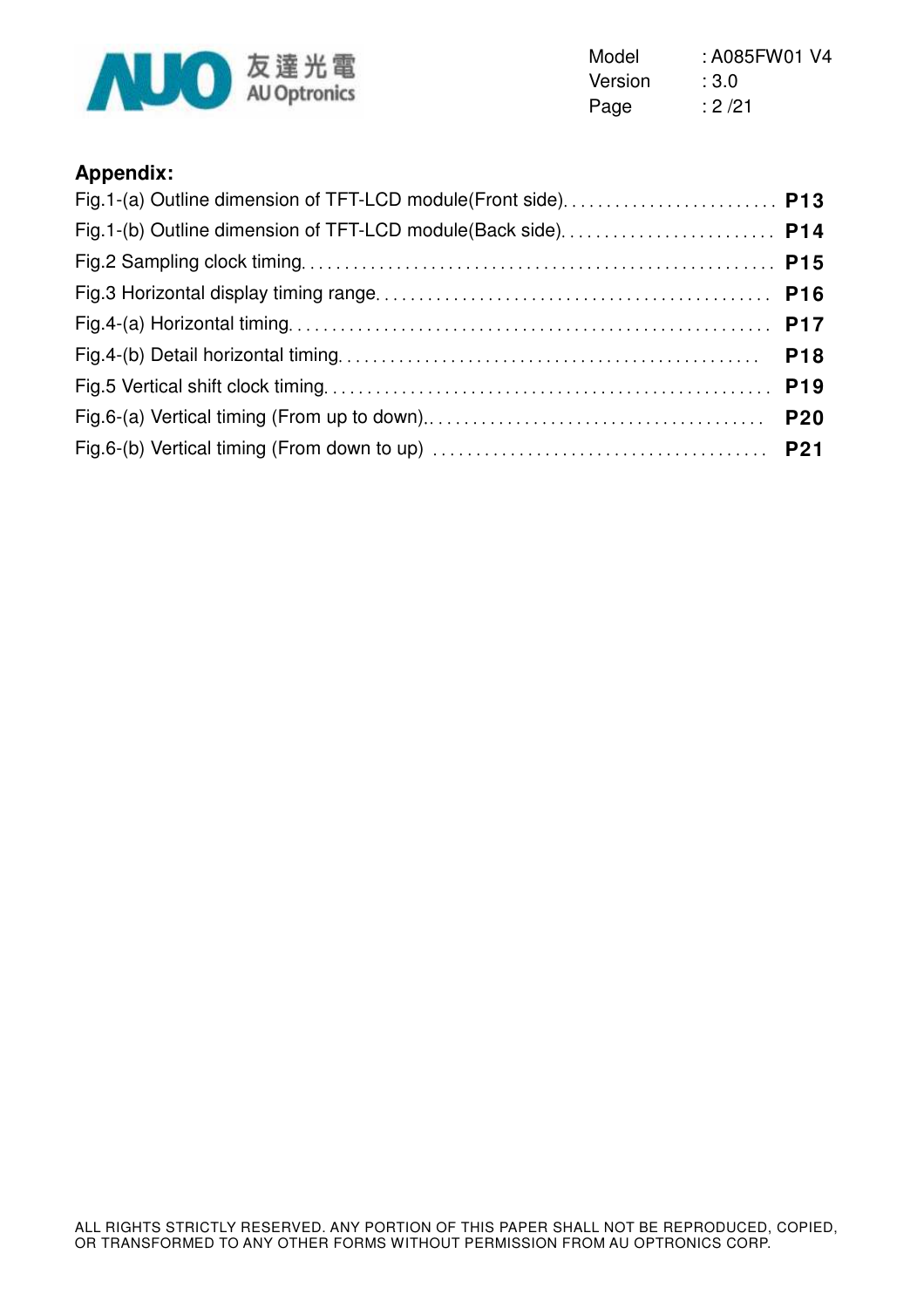

Model : A085FW01 V4 Version : 3.0 Page : 2/21

## **Appendix:**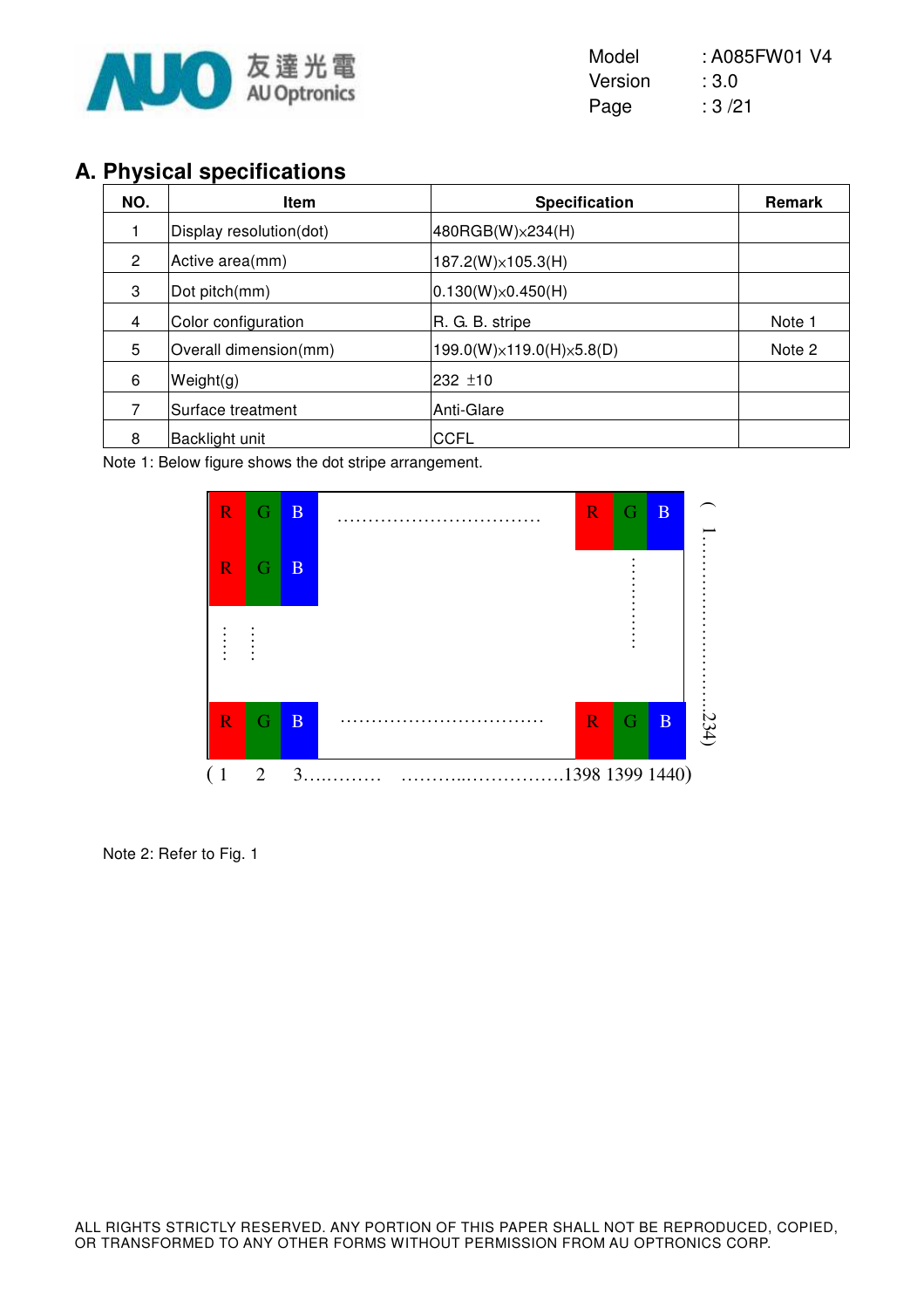

| Model   | : A085FW01 V4 |
|---------|---------------|
| Version | :3.0          |
| Page    | :3/21         |

## **A. Physical specifications**

| NO.            | <b>Item</b>             | <b>Specification</b>        | Remark |
|----------------|-------------------------|-----------------------------|--------|
|                | Display resolution(dot) | 480RGB(W) × 234(H)          |        |
| $\overline{2}$ | Active area(mm)         | $187.2(W)\times 105.3(H)$   |        |
| 3              | Dot pitch(mm)           | $ 0.130(W)\times 0.450(H) $ |        |
| 4              | Color configuration     | R. G. B. stripe             | Note 1 |
| 5              | Overall dimension(mm)   | 199.0(W)×119.0(H)×5.8(D)    | Note 2 |
| 6              | Weight(g)               | 232 ±10                     |        |
|                | Surface treatment       | Anti-Glare                  |        |
| 8              | Backlight unit          | <b>CCFL</b>                 |        |

Note 1: Below figure shows the dot stripe arrangement.



Note 2: Refer to Fig. 1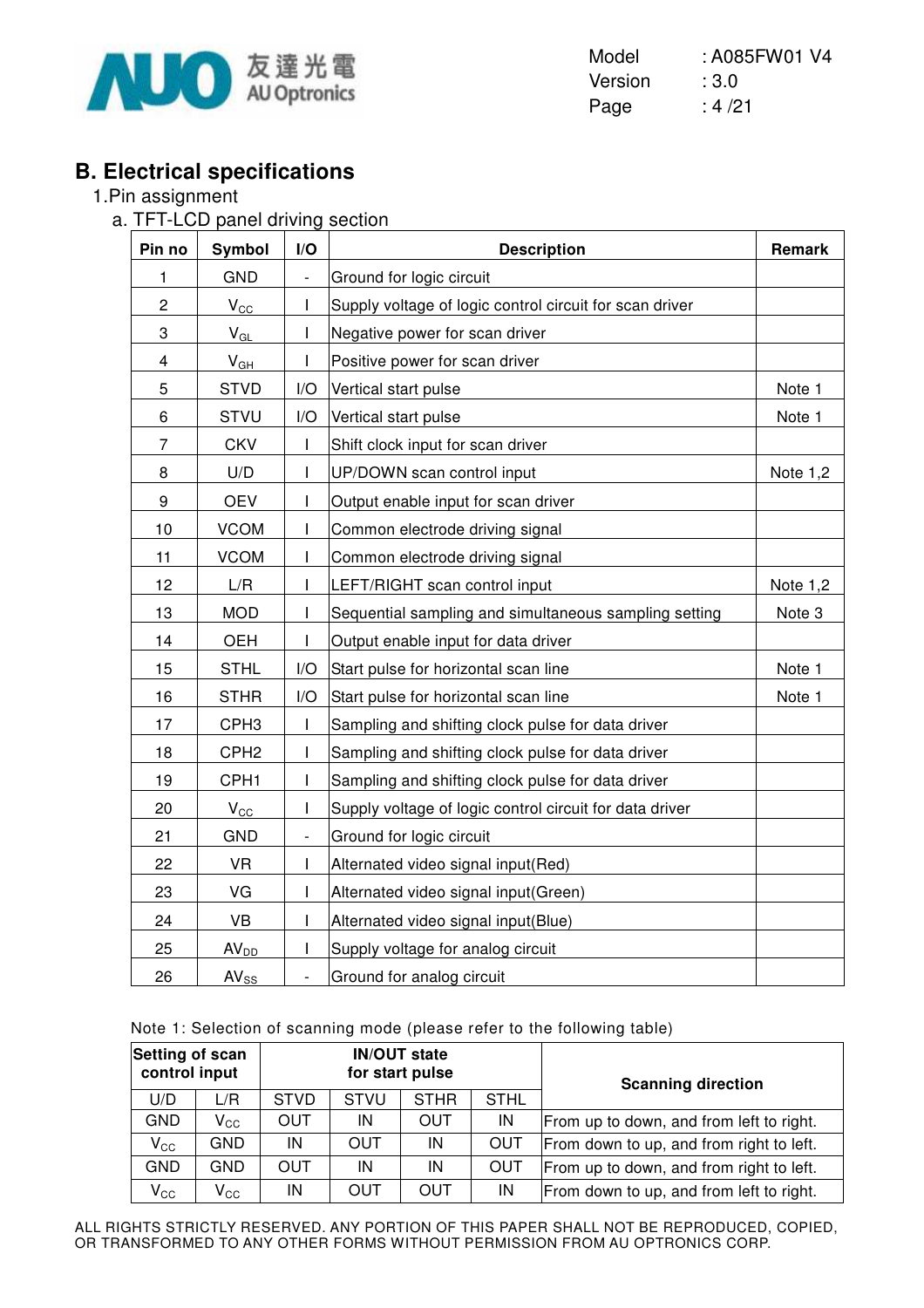

Model : A085FW01 V4 Version : 3.0 Page : 4/21

## **B. Electrical specifications**

#### 1.Pin assignment

a. TFT-LCD panel driving section

| Pin no         | Symbol           | I/O                      | <b>Description</b>                                      | Remark     |
|----------------|------------------|--------------------------|---------------------------------------------------------|------------|
| 1              | <b>GND</b>       | $\overline{\phantom{0}}$ | Ground for logic circuit                                |            |
| $\overline{c}$ | $V_{\rm CC}$     | $\mathsf{I}$             | Supply voltage of logic control circuit for scan driver |            |
| 3              | $V_{GL}$         | $\mathsf{I}$             | Negative power for scan driver                          |            |
| 4              | $V_{GH}$         | I                        | Positive power for scan driver                          |            |
| 5              | <b>STVD</b>      | I/O                      | Vertical start pulse                                    | Note 1     |
| 6              | <b>STVU</b>      | I/O                      | Vertical start pulse                                    | Note 1     |
| 7              | <b>CKV</b>       | ı                        | Shift clock input for scan driver                       |            |
| 8              | U/D              | I                        | UP/DOWN scan control input                              | Note 1,2   |
| 9              | <b>OEV</b>       | T                        | Output enable input for scan driver                     |            |
| 10             | <b>VCOM</b>      | $\mathsf{I}$             | Common electrode driving signal                         |            |
| 11             | <b>VCOM</b>      | $\mathsf{l}$             | Common electrode driving signal                         |            |
| 12             | L/R              | I                        | LEFT/RIGHT scan control input                           | Note $1,2$ |
| 13             | <b>MOD</b>       | $\mathsf{I}$             | Sequential sampling and simultaneous sampling setting   | Note 3     |
| 14             | <b>OEH</b>       | $\mathsf{I}$             | Output enable input for data driver                     |            |
| 15             | <b>STHL</b>      | I/O                      | Start pulse for horizontal scan line                    | Note 1     |
| 16             | <b>STHR</b>      | I/O                      | Start pulse for horizontal scan line                    | Note 1     |
| 17             | CPH <sub>3</sub> | $\mathsf{I}$             | Sampling and shifting clock pulse for data driver       |            |
| 18             | CPH <sub>2</sub> | $\mathsf{I}$             | Sampling and shifting clock pulse for data driver       |            |
| 19             | CPH <sub>1</sub> | I                        | Sampling and shifting clock pulse for data driver       |            |
| 20             | $V_{\rm CC}$     | I                        | Supply voltage of logic control circuit for data driver |            |
| 21             | <b>GND</b>       | $\overline{\phantom{a}}$ | Ground for logic circuit                                |            |
| 22             | <b>VR</b>        | T                        | Alternated video signal input(Red)                      |            |
| 23             | VG               | $\mathsf{I}$             | Alternated video signal input(Green)                    |            |
| 24             | VB               | I                        | Alternated video signal input(Blue)                     |            |
| 25             | AV <sub>DD</sub> | I                        | Supply voltage for analog circuit                       |            |
| 26             | $AV_{SS}$        | $\frac{1}{2}$            | Ground for analog circuit                               |            |

|  | Note 1: Selection of scanning mode (please refer to the following table) |  |  |  |  |
|--|--------------------------------------------------------------------------|--|--|--|--|
|  |                                                                          |  |  |  |  |

| Setting of scan<br><b>IN/OUT state</b><br>control input<br>for start pulse |                            |             |                                           | <b>Scanning direction</b> |            |                                          |
|----------------------------------------------------------------------------|----------------------------|-------------|-------------------------------------------|---------------------------|------------|------------------------------------------|
| U/D                                                                        | L/R                        | <b>STVD</b> | <b>STHL</b><br><b>STHR</b><br><b>STVU</b> |                           |            |                                          |
| <b>GND</b>                                                                 | $\mathsf{V}_{\mathsf{CC}}$ | <b>OUT</b>  | IN                                        | OUT                       | IN         | From up to down, and from left to right. |
| $V_{\rm CC}$                                                               | <b>GND</b>                 | IN          | OUT                                       | IN                        | <b>OUT</b> | From down to up, and from right to left. |
| <b>GND</b>                                                                 | GND                        | OUT         | IN                                        | IN                        | <b>OUT</b> | From up to down, and from right to left. |
| $V_{\rm CC}$                                                               | $\mathsf{V}_{\mathsf{CC}}$ | IN          | OUT                                       | OUT                       | IN         | From down to up, and from left to right. |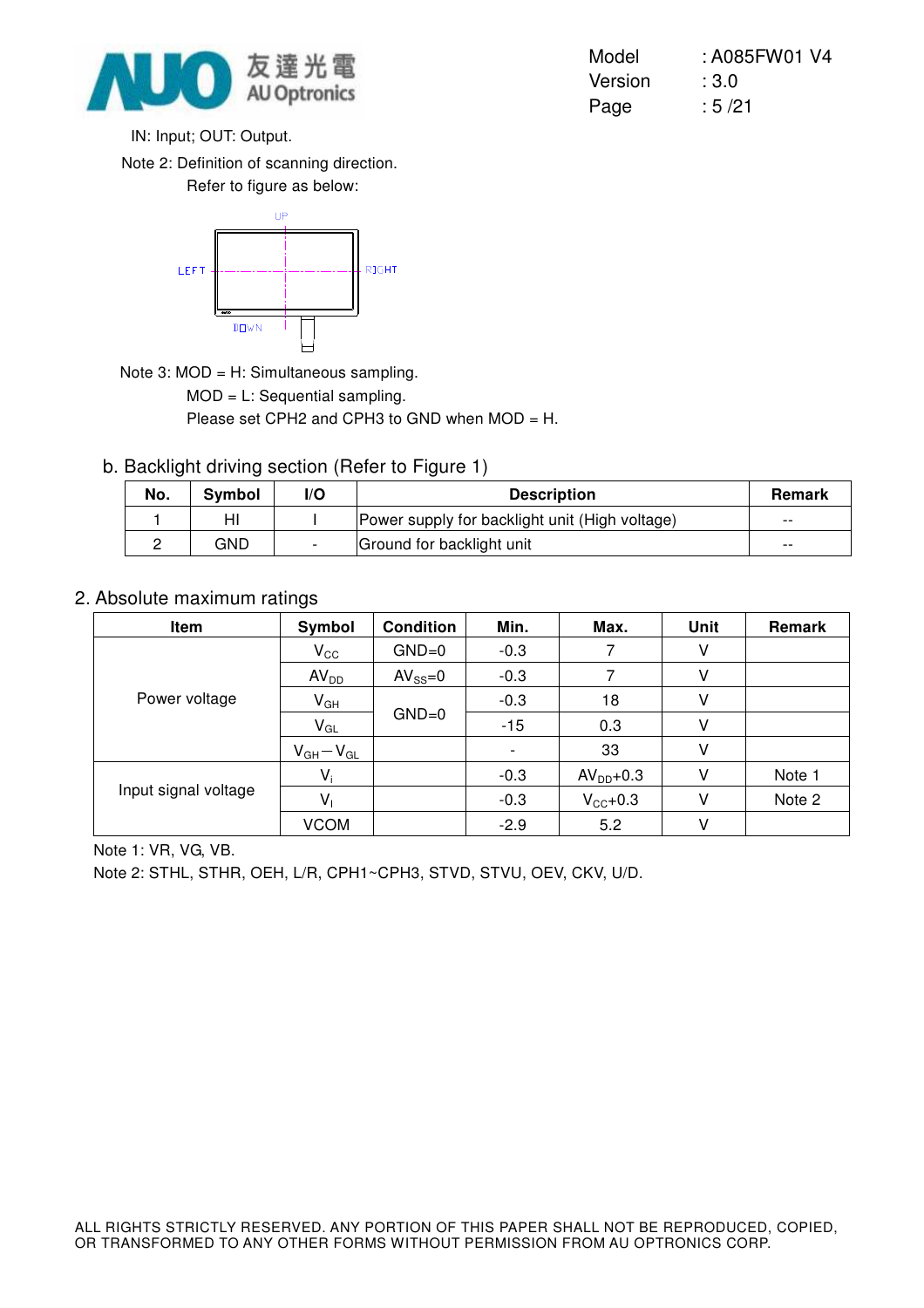

Model : A085FW01 V4 Version : 3.0 Page : 5/21

IN: Input; OUT: Output.

Note 2: Definition of scanning direction.

Refer to figure as below:



Note 3: MOD = H: Simultaneous sampling.

MOD = L: Sequential sampling.

Please set CPH2 and CPH3 to GND when MOD = H.

b. Backlight driving section (Refer to Figure 1)

| No. | <b>Symbol</b> | l/O | <b>Description</b>                             |       |
|-----|---------------|-----|------------------------------------------------|-------|
|     |               |     | Power supply for backlight unit (High voltage) | $- -$ |
|     | GND           |     | Ground for backlight unit                      | $- -$ |

#### 2. Absolute maximum ratings

| Item                 | Symbol           | <b>Condition</b> | Min.   | Max.                | Unit | Remark |
|----------------------|------------------|------------------|--------|---------------------|------|--------|
|                      | $V_{\rm CC}$     | $GND=0$          | $-0.3$ |                     | v    |        |
|                      | AV <sub>DD</sub> | $AV_{SS}=0$      | $-0.3$ |                     | V    |        |
| Power voltage        | $V_{GH}$         |                  | $-0.3$ | 18                  |      |        |
|                      | $V_{GL}$         | $GND=0$          | $-15$  | 0.3                 | V    |        |
|                      | $V_{GH}-V_{GL}$  |                  |        | 33                  |      |        |
|                      | $V_i$            |                  | $-0.3$ | $AVDD+0.3$          | V    | Note 1 |
| Input signal voltage | $V_{1}$          |                  | $-0.3$ | $V_{\text{CC}}+0.3$ | V    | Note 2 |
|                      | <b>VCOM</b>      |                  | $-2.9$ | 5.2                 | V    |        |

Note 1: VR, VG, VB.

Note 2: STHL, STHR, OEH, L/R, CPH1~CPH3, STVD, STVU, OEV, CKV, U/D.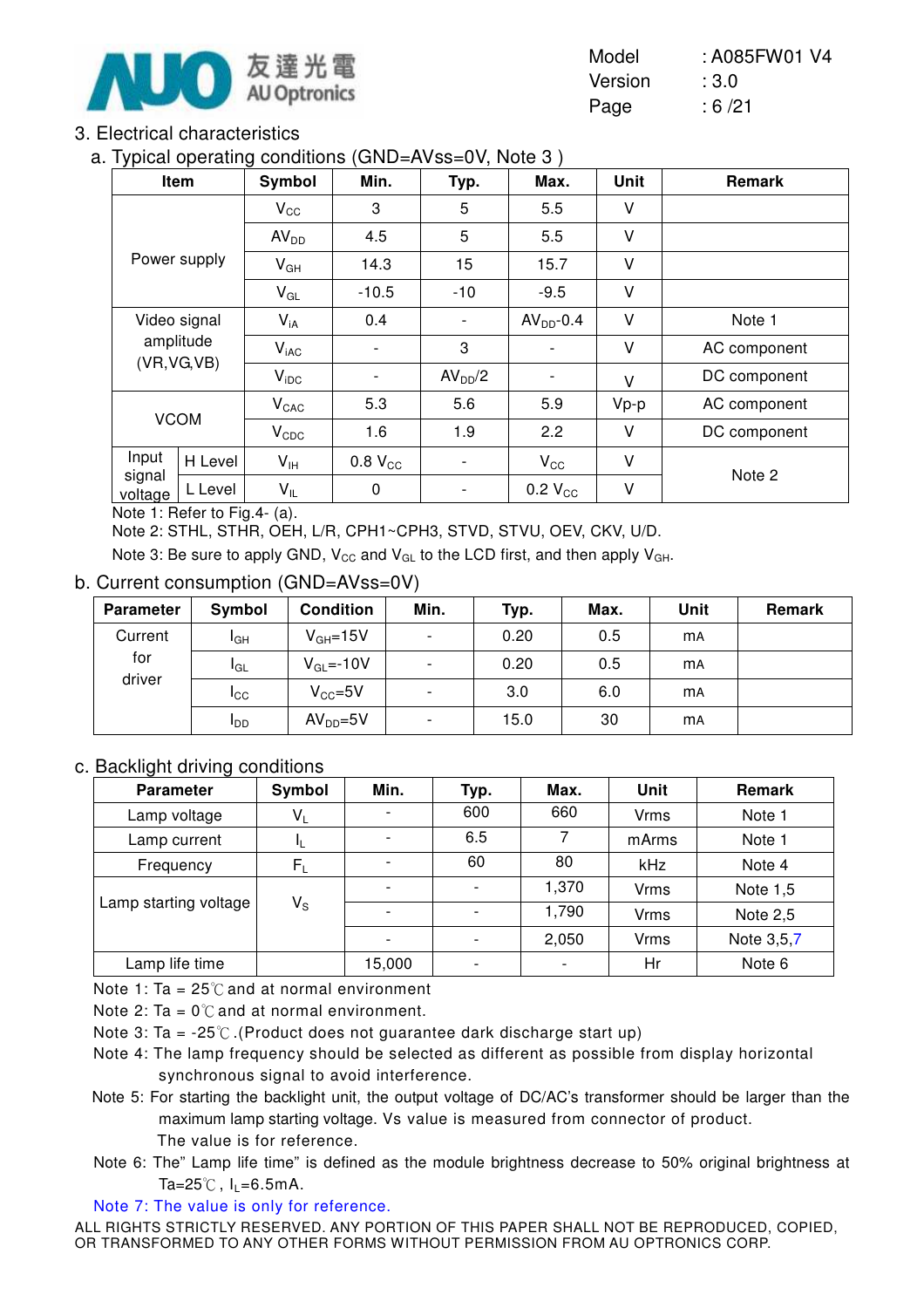

| Model   | : A085FW01 V4 |
|---------|---------------|
| Version | :3.0          |
| Page    | :6/21         |

#### 3. Electrical characteristics

a. Typical operating conditions (GND=AVss=0V, Note 3 )

| . .               | Item         | Symbol           | Min.                     | Typ.                     | Max.                     | Unit   | Remark       |
|-------------------|--------------|------------------|--------------------------|--------------------------|--------------------------|--------|--------------|
|                   |              | $V_{\rm CC}$     | 3                        | 5                        | 5.5                      | V      |              |
|                   |              | AV <sub>DD</sub> | 4.5                      | 5                        | 5.5                      | V      |              |
|                   | Power supply | $V_{GH}$         | 14.3                     | 15                       | 15.7                     | V      |              |
|                   |              | $V_{GL}$         | $-10.5$                  | $-10$                    | $-9.5$                   | V      |              |
|                   | Video signal |                  | 0.4                      | $\overline{\phantom{0}}$ | $AVDD - 0.4$             | V      | Note 1       |
|                   | amplitude    | $V_{iAC}$        |                          | 3                        |                          | V      | AC component |
|                   | (VR, VG, VB) | $V_{\text{IDC}}$ | $\overline{\phantom{a}}$ | AV <sub>DD</sub> /2      | $\overline{\phantom{a}}$ | $\vee$ | DC component |
|                   |              | $V_{CAC}$        | 5.3                      | 5.6                      | 5.9                      | $Vp-p$ | AC component |
| <b>VCOM</b>       |              | $V_{CDC}$        | 1.6                      | 1.9                      | 2.2                      | V      | DC component |
| Input             | H Level      | $V_{\text{IH}}$  | $0.8 V_{CC}$             | ٠                        | $V_{\rm CC}$             | $\vee$ | Note 2       |
| signal<br>voltage | L Level      | $V_{IL}$         | $\pmb{0}$                | $\overline{\phantom{a}}$ | $0.2 V_{CC}$             | V      |              |

Note 1: Refer to Fig.4- (a).

Note 2: STHL, STHR, OEH, L/R, CPH1~CPH3, STVD, STVU, OEV, CKV, U/D.

Note 3: Be sure to apply GND,  $V_{\text{CC}}$  and  $V_{\text{GL}}$  to the LCD first, and then apply  $V_{\text{GH}}$ .

#### b. Current consumption (GND=AVss=0V)

| Parameter     | Symbol          | <b>Condition</b> | Min.                     | Typ. | Max. | Unit      | Remark |
|---------------|-----------------|------------------|--------------------------|------|------|-----------|--------|
| Current       | I <sub>GH</sub> | $V_{GH} = 15V$   | $\overline{\phantom{a}}$ | 0.20 | 0.5  | <b>mA</b> |        |
| for<br>driver | IGL             | $V_{GL} = -10V$  | $\overline{\phantom{a}}$ | 0.20 | 0.5  | <b>mA</b> |        |
|               | Icc             | $V_{CC} = 5V$    | $\overline{\phantom{0}}$ | 3.0  | 6.0  | <b>mA</b> |        |
|               | <b>I</b> DD     | $AVDD=5V$        | $\overline{\phantom{0}}$ | 15.0 | 30   | <b>mA</b> |        |

#### c. Backlight driving conditions

| ີ<br>ີ<br><b>Parameter</b> | Symbol                  | Min.                     | Typ.                     | Max.                     | <b>Unit</b> | Remark          |
|----------------------------|-------------------------|--------------------------|--------------------------|--------------------------|-------------|-----------------|
| Lamp voltage               | $V_L$                   |                          | 600                      | 660                      | <b>Vrms</b> | Note 1          |
| Lamp current               | ΤL                      |                          | 6.5                      |                          | mArms       | Note 1          |
| Frequency                  | $F_L$                   |                          | 60                       | 80                       | kHz         | Note 4          |
|                            |                         | $\overline{\phantom{0}}$ | $\overline{\phantom{a}}$ | 1,370                    | <b>Vrms</b> | Note 1,5        |
| Lamp starting voltage      | $\mathsf{V}_\mathsf{S}$ |                          |                          | 1,790                    | <b>Vrms</b> | <b>Note 2,5</b> |
|                            |                         |                          |                          | 2,050                    | <b>Vrms</b> | Note 3,5,7      |
| Lamp life time             |                         | 15,000                   | $\overline{\phantom{a}}$ | $\overline{\phantom{a}}$ | Hr          | Note 6          |

Note 1: Ta =  $25^{\circ}$  and at normal environment

Note 2: Ta =  $0^{\circ}$ C and at normal environment.

Note 3: Ta =  $-25^{\circ}$ . (Product does not guarantee dark discharge start up)

- Note 4: The lamp frequency should be selected as different as possible from display horizontal synchronous signal to avoid interference.
- Note 5: For starting the backlight unit, the output voltage of DC/AC's transformer should be larger than the maximum lamp starting voltage. Vs value is measured from connector of product. The value is for reference.
- Note 6: The" Lamp life time" is defined as the module brightness decrease to 50% original brightness at Ta=25 $\degree$ C, I<sub>L</sub>=6.5mA.

Note 7: The value is only for reference.

ALL RIGHTS STRICTLY RESERVED. ANY PORTION OF THIS PAPER SHALL NOT BE REPRODUCED, COPIED, OR TRANSFORMED TO ANY OTHER FORMS WITHOUT PERMISSION FROM AU OPTRONICS CORP.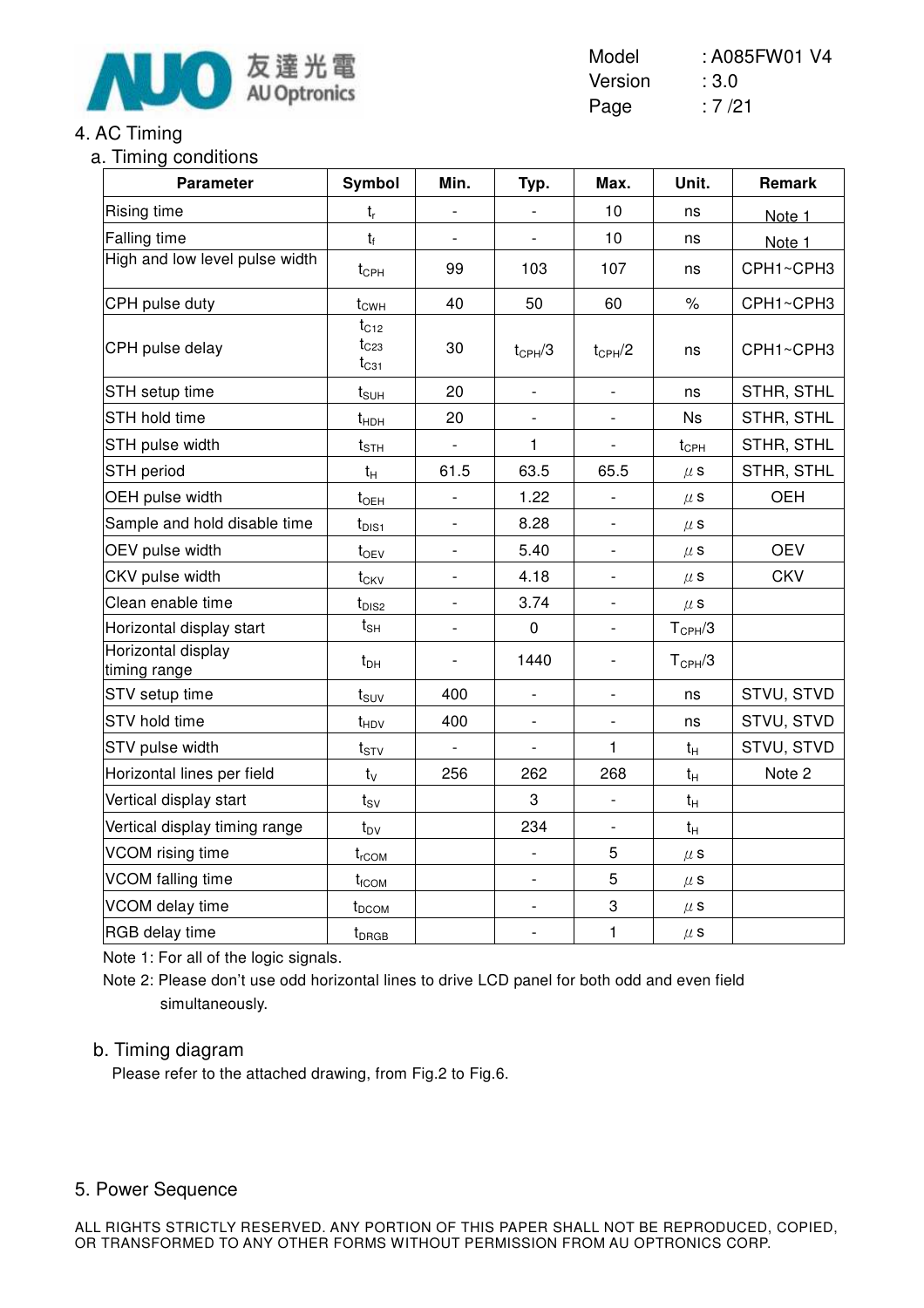

### 4. AC Timing

a. Timing conditions

| <b>Parameter</b>                   | Symbol                              | Min.                     | Typ.                         | Max.                         | Unit.              | <b>Remark</b> |
|------------------------------------|-------------------------------------|--------------------------|------------------------------|------------------------------|--------------------|---------------|
| Rising time                        | $t_{r}$                             | $\qquad \qquad -$        |                              | 10                           | ns                 | Note 1        |
| Falling time                       | $t_f$                               |                          |                              | 10                           | ns                 | Note 1        |
| High and low level pulse width     | $t_{\text{CPH}}$                    | 99                       | 103                          | 107                          | ns                 | CPH1~CPH3     |
| CPH pulse duty                     | $t_{\text{CWH}}$                    | 40                       | 50                           | 60                           | $\%$               | CPH1~CPH3     |
| CPH pulse delay                    | $t_{C12}$<br>$t_{C23}$<br>$t_{C31}$ | 30                       | $t_{CPH}/3$                  | $t_{CPH}/2$                  | ns                 | CPH1~CPH3     |
| STH setup time                     | $t_{\text{SUH}}$                    | 20                       | $\blacksquare$               | $\overline{\phantom{a}}$     | ns                 | STHR, STHL    |
| STH hold time                      | $t_{HDH}$                           | 20                       |                              |                              | <b>Ns</b>          | STHR, STHL    |
| STH pulse width                    | $t_{\scriptstyle\text{STH}}$        | $\overline{\phantom{a}}$ | 1                            | $\overline{\phantom{a}}$     | $t_{\text{CPH}}$   | STHR, STHL    |
| STH period                         | $t_{H}$                             | 61.5                     | 63.5                         | 65.5                         | $\mu$ S            | STHR, STHL    |
| OEH pulse width                    | $t_{OEH}$                           | $\frac{1}{2}$            | 1.22                         |                              | $\mu$ S            | <b>OEH</b>    |
| Sample and hold disable time       | $t_{\text{DIS1}}$                   | $\qquad \qquad -$        | 8.28                         | $\overline{\phantom{a}}$     | $\mu$ S            |               |
| OEV pulse width                    | $t_{OEV}$                           | $\overline{\phantom{a}}$ | 5.40                         |                              | $\mu$ s            | <b>OEV</b>    |
| CKV pulse width                    | $t_{CKV}$                           | $\overline{\phantom{0}}$ | 4.18                         | $\qquad \qquad -$            | $\mu$ S            | <b>CKV</b>    |
| Clean enable time                  | $t_{DIS2}$                          |                          | 3.74                         |                              | $\mu$ S            |               |
| Horizontal display start           | $t_{\sf SH}$                        | $\overline{a}$           | 0                            | $\frac{1}{2}$                | $T_{\text{CPH}}/3$ |               |
| Horizontal display<br>timing range | $t_{DH}$                            |                          | 1440                         | $\overline{\phantom{0}}$     | $T_{\text{CPH}}/3$ |               |
| STV setup time                     | $t_{\scriptstyle\text{SUV}}$        | 400                      | $\qquad \qquad \blacksquare$ | $\qquad \qquad \blacksquare$ | ns                 | STVU, STVD    |
| STV hold time                      | $t_{HDV}$                           | 400                      |                              |                              | ns                 | STVU, STVD    |
| STV pulse width                    | $t_{STV}$                           | $\overline{\phantom{a}}$ |                              | 1                            | $t_H$              | STVU, STVD    |
| Horizontal lines per field         | $t_{\rm V}$                         | 256                      | 262                          | 268                          | $t_H$              | Note 2        |
| Vertical display start             | $t_{SV}$                            |                          | 3                            |                              | $t_{H}$            |               |
| Vertical display timing range      | $t_{\text{DV}}$                     |                          | 234                          | $\qquad \qquad -$            | $t_H$              |               |
| VCOM rising time                   | $t_{rCOM}$                          |                          |                              | 5                            | $\mu$ s            |               |
| <b>VCOM falling time</b>           | $t_{\text{fCOM}}$                   |                          | $\qquad \qquad -$            | 5                            | $\mu$ S            |               |
| VCOM delay time                    | t <sub>DCOM</sub>                   |                          | $\frac{1}{2}$                | 3                            | $\mu$ S            |               |
| RGB delay time                     | $t_{DRGB}$                          |                          | $\overline{a}$               | $\mathbf{1}$                 | $\mu$ s            |               |

Note 1: For all of the logic signals.

Note 2: Please don't use odd horizontal lines to drive LCD panel for both odd and even field simultaneously.

#### b. Timing diagram

Please refer to the attached drawing, from Fig.2 to Fig.6.

#### 5. Power Sequence

Model : A085FW01 V4 Version : 3.0 Page : 7/21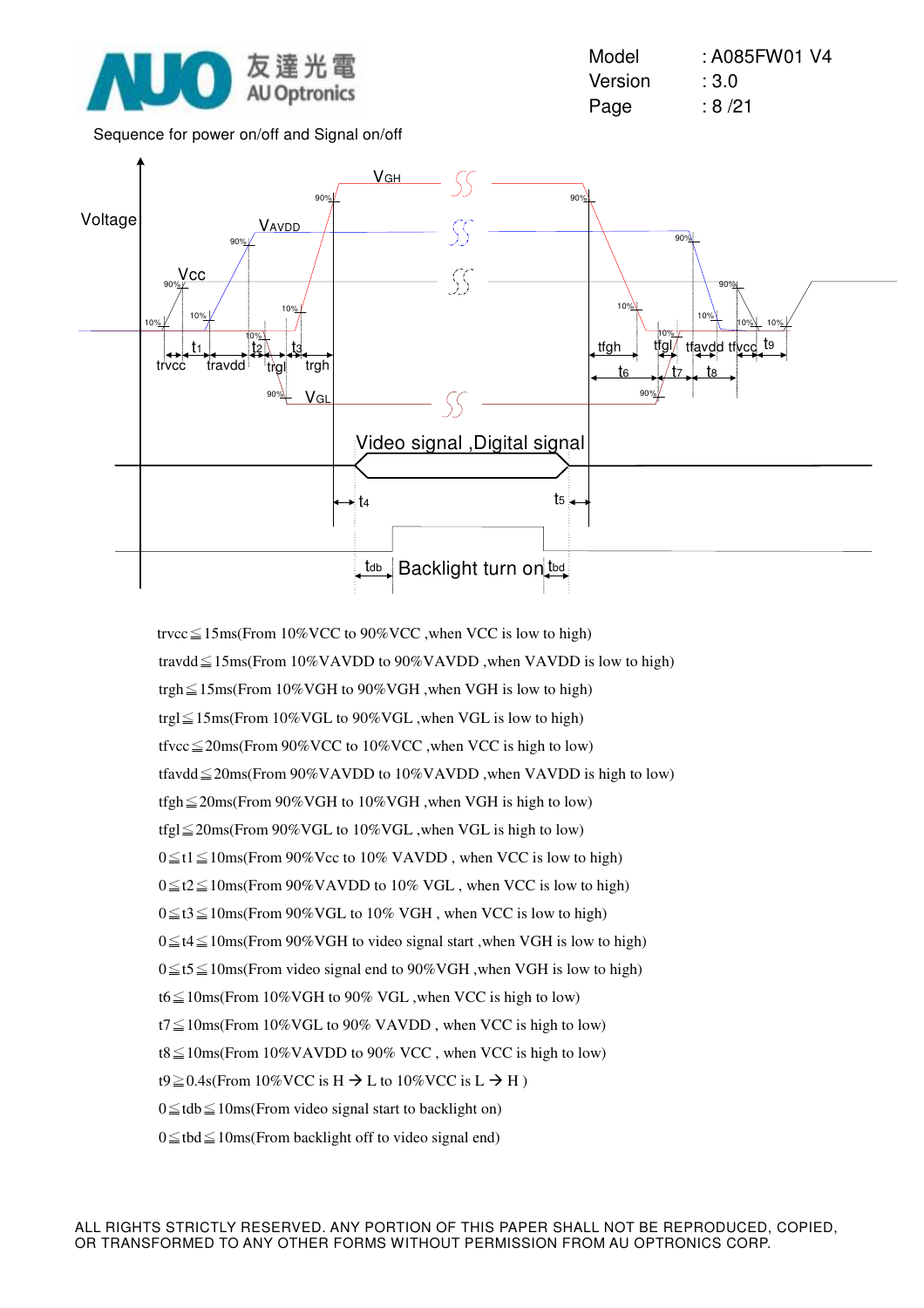

Model : A085FW01 V4 Version : 3.0 Page : 8/21

Sequence for power on/off and Signal on/off



trvcc $\leq$ 15ms(From 10%VCC to 90%VCC ,when VCC is low to high) travdd $\leq$ 15ms(From 10%VAVDD to 90%VAVDD ,when VAVDD is low to high) trgh $\leq$ 15ms(From 10%VGH to 90%VGH ,when VGH is low to high) trgl $\leq$ 15ms(From 10%VGL to 90%VGL ,when VGL is low to high) tfvcc $\leq$ 20ms(From 90%VCC to 10%VCC ,when VCC is high to low) tfavdd $\leq$ 20ms(From 90%VAVDD to 10%VAVDD ,when VAVDD is high to low) tfgh $\leq$ 20ms(From 90%VGH to 10%VGH ,when VGH is high to low) tfgl $\leq$ 20ms(From 90%VGL to 10%VGL ,when VGL is high to low)  $0 \le t1 \le 10$ ms(From 90%Vcc to 10% VAVDD, when VCC is low to high)  $0 \le t2 \le 10$ ms(From 90%VAVDD to 10% VGL, when VCC is low to high)  $0 \le t$ 3 $\le$ 10ms(From 90% VGL to 10% VGH, when VCC is low to high)  $0 \le t$ 4 S 10ms(From 90%VGH to video signal start , when VGH is low to high)  $0 \le t \le 10$ ms(From video signal end to 90%VGH, when VGH is low to high) t6 $\leq$ 10ms(From 10%VGH to 90% VGL, when VCC is high to low)  $t7 \leq 10$ ms(From 10% VGL to 90% VAVDD, when VCC is high to low) t8 $\leq$ 10ms(From 10%VAVDD to 90% VCC, when VCC is high to low) t9 $\geq$ 0.4s(From 10%VCC is H  $\rightarrow$  L to 10%VCC is L  $\rightarrow$  H)  $0 \leq t$ db $\leq$ 10ms(From video signal start to backlight on)  $0 \leq$  tbd $\leq$  10ms(From backlight off to video signal end)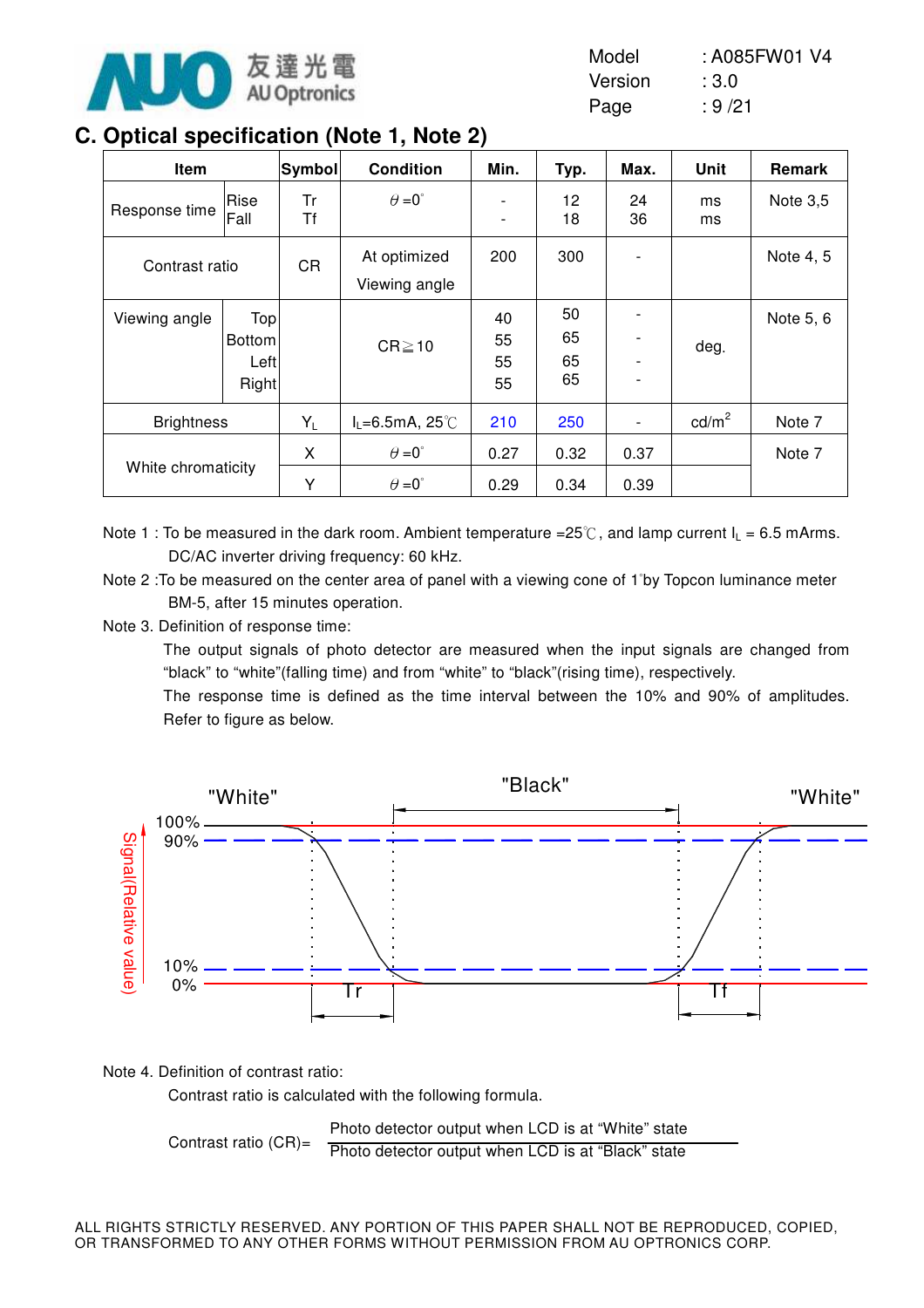

| Model   | : A085FW01 V4 |
|---------|---------------|
| Version | :3.0          |
| Page    | : 9/21        |

## **C. Optical specification (Note 1, Note 2)**

| Item               |                                       | Symbol    | <b>Condition</b>                             | ,<br>Min.                | Typ.                 | Max.         | Unit            | Remark    |
|--------------------|---------------------------------------|-----------|----------------------------------------------|--------------------------|----------------------|--------------|-----------------|-----------|
| Response time      | Rise<br>Fall                          | Tr<br>Τf  | $\theta = 0^{\circ}$                         | $\overline{\phantom{a}}$ | 12<br>18             | 24<br>36     | ms<br>ms        | Note 3,5  |
| Contrast ratio     |                                       | <b>CR</b> | At optimized<br>Viewing angle                | 200                      | 300                  |              |                 | Note 4, 5 |
| Viewing angle      | Top<br><b>Bottom</b><br>Left<br>Right |           | $CR \ge 10$                                  | 40<br>55<br>55<br>55     | 50<br>65<br>65<br>65 |              | deg.            | Note 5, 6 |
| <b>Brightness</b>  |                                       | $Y_L$     | $I_L = 6.5$ mA, 25°C                         | 210                      | 250                  |              | $\text{cd/m}^2$ | Note 7    |
| White chromaticity |                                       | X<br>Y    | $\theta = 0^{\circ}$<br>$\theta = 0^{\circ}$ | 0.27<br>0.29             | 0.32<br>0.34         | 0.37<br>0.39 |                 | Note 7    |

Note 1 : To be measured in the dark room. Ambient temperature =25 $\degree$ C, and lamp current  $I_1 = 6.5$  mArms. DC/AC inverter driving frequency: 60 kHz.

Note 2 : To be measured on the center area of panel with a viewing cone of 1<sup>°</sup>by Topcon luminance meter BM-5, after 15 minutes operation.

Note 3. Definition of response time:

The output signals of photo detector are measured when the input signals are changed from "black" to "white"(falling time) and from "white" to "black"(rising time), respectively.

The response time is defined as the time interval between the 10% and 90% of amplitudes. Refer to figure as below.



Note 4. Definition of contrast ratio:

Contrast ratio is calculated with the following formula.

Contrast ratio (CR)= Photo detector output when LCD is at "White" state Photo detector output when LCD is at "Black" state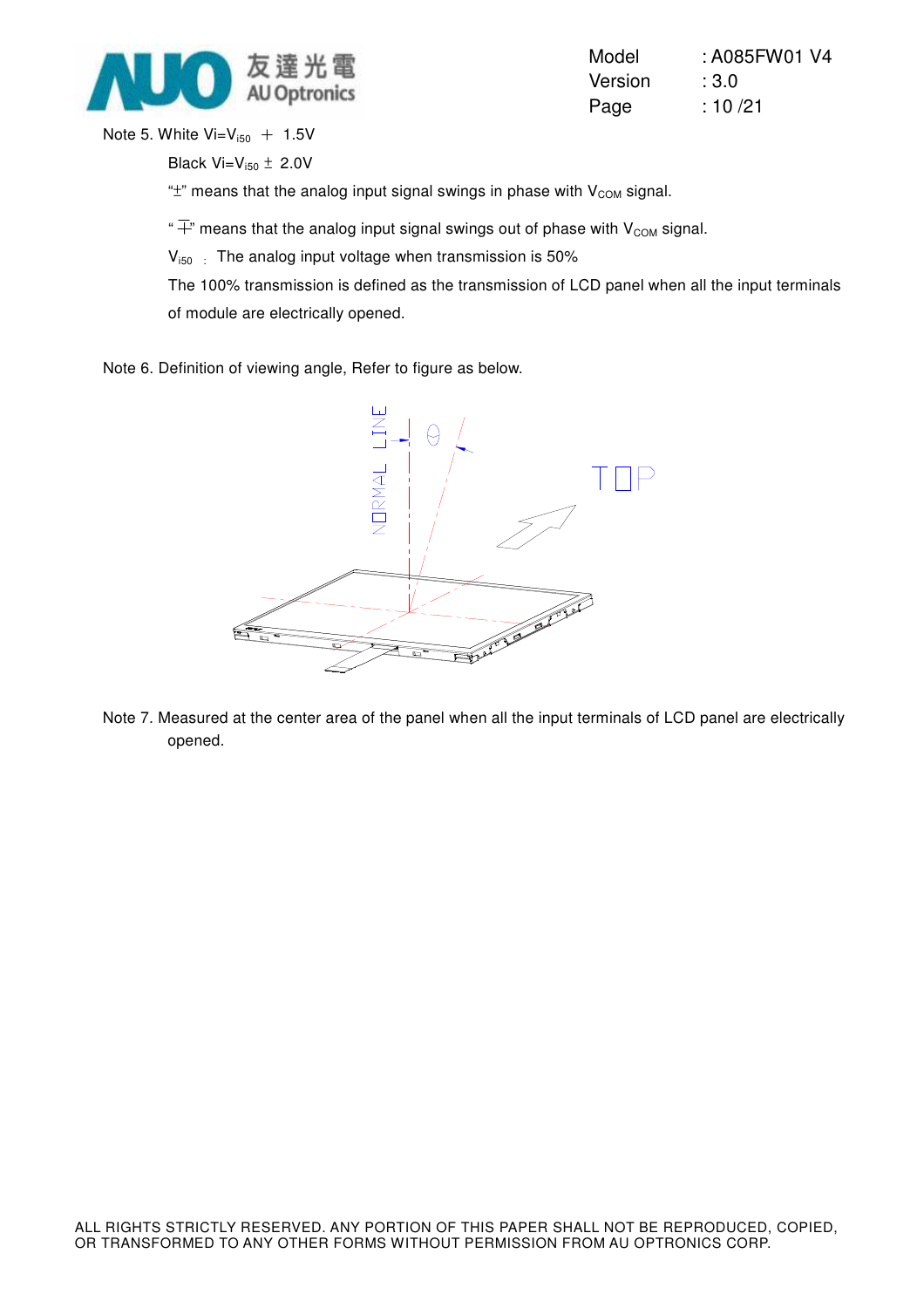

| Model   | : A085FW01 V4 |
|---------|---------------|
| Version | :3.0          |
| Page    | :10/21        |

Note 5. White  $Vi=V_{i50}$  + 1.5V

Black  $Vi=V_{150} \pm 2.0V$ 

" $\pm$ " means that the analog input signal swings in phase with  $V_{COM}$  signal.

" $\overline{+}$ " means that the analog input signal swings out of phase with V<sub>COM</sub> signal.

 $V_{150}$ : The analog input voltage when transmission is 50%

The 100% transmission is defined as the transmission of LCD panel when all the input terminals of module are electrically opened.

Note 6. Definition of viewing angle, Refer to figure as below.



Note 7. Measured at the center area of the panel when all the input terminals of LCD panel are electrically opened.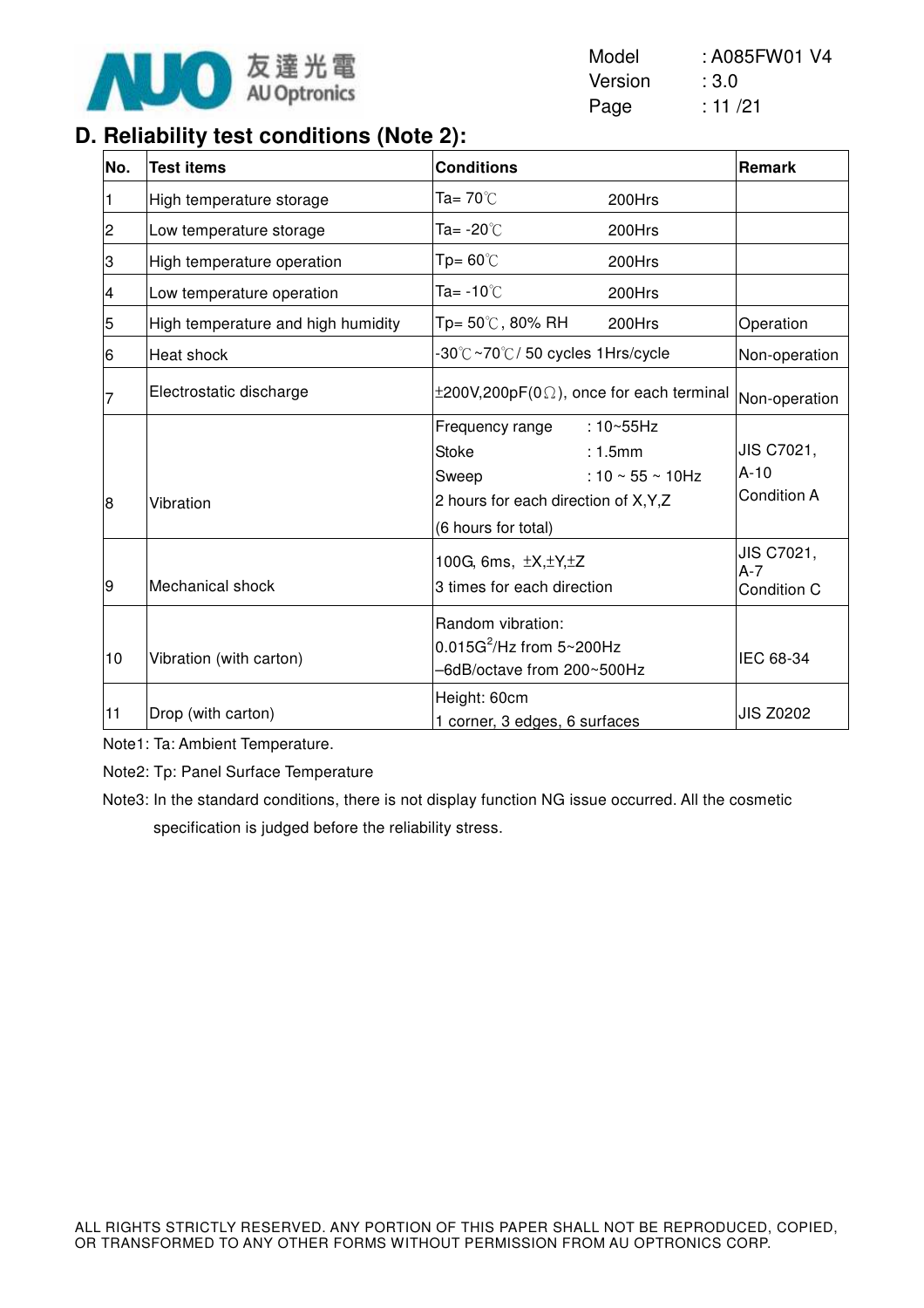

| Model   | : A085FW01 V4 |
|---------|---------------|
| Version | :3.0          |
| Page    | : 11 /21      |

## **D. Reliability test conditions (Note 2):**

| No.            | <b>Test items</b>                  | <b>Conditions</b>                                                                                                                                                  | Remark                                     |
|----------------|------------------------------------|--------------------------------------------------------------------------------------------------------------------------------------------------------------------|--------------------------------------------|
| 1              | High temperature storage           | Ta= 70℃<br>200Hrs                                                                                                                                                  |                                            |
| $\overline{c}$ | Low temperature storage            | Ta= -20℃<br>200Hrs                                                                                                                                                 |                                            |
| З              | High temperature operation         | $Tp = 60^{\circ}$<br>200Hrs                                                                                                                                        |                                            |
| 4              | Low temperature operation          | Ta= $-10^{\circ}$ C<br>200Hrs                                                                                                                                      |                                            |
| 5              | High temperature and high humidity | Tp= 50℃, 80% RH<br>200Hrs                                                                                                                                          | Operation                                  |
| 6              | Heat shock                         | -30℃~70℃/50 cycles 1Hrs/cycle                                                                                                                                      | Non-operation                              |
|                | Electrostatic discharge            | $\pm 200V, 200pF(0\Omega)$ , once for each terminal                                                                                                                | Non-operation                              |
| 8              | Vibration                          | Frequency range<br>$:10\neg 55Hz$<br><b>Stoke</b><br>: 1.5mm<br>: $10 \sim 55 \sim 10$ Hz<br>Sweep<br>2 hours for each direction of X, Y, Z<br>(6 hours for total) | JIS C7021,<br>$A-10$<br><b>Condition A</b> |
| 9              | Mechanical shock                   | 100G, 6ms, $\pm X, \pm Y, \pm Z$<br>3 times for each direction                                                                                                     | JIS C7021,<br>$A-7$<br>Condition C         |
| 10             | Vibration (with carton)            | Random vibration:<br>$0.015G^2$ /Hz from $5 \sim 200Hz$<br>-6dB/octave from 200~500Hz                                                                              | IEC 68-34                                  |
| 11             | Drop (with carton)                 | Height: 60cm<br>1 corner, 3 edges, 6 surfaces                                                                                                                      | <b>JIS Z0202</b>                           |

Note1: Ta: Ambient Temperature.

Note2: Tp: Panel Surface Temperature

Note3: In the standard conditions, there is not display function NG issue occurred. All the cosmetic specification is judged before the reliability stress.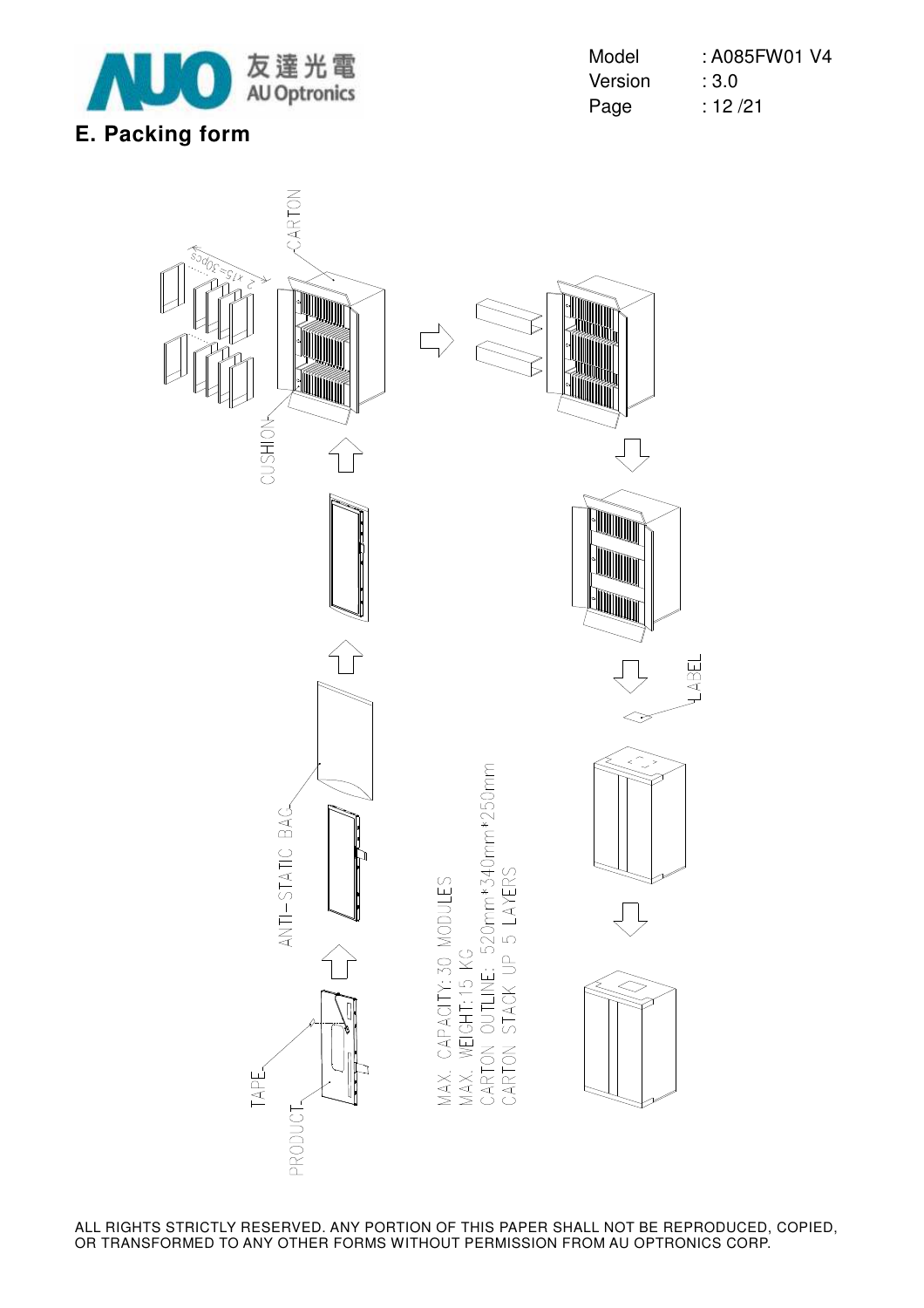

| Model   | : A085FW01 V4 |
|---------|---------------|
| Version | :3.0          |
| Page    | : 12/21       |

## **E. Packing form**

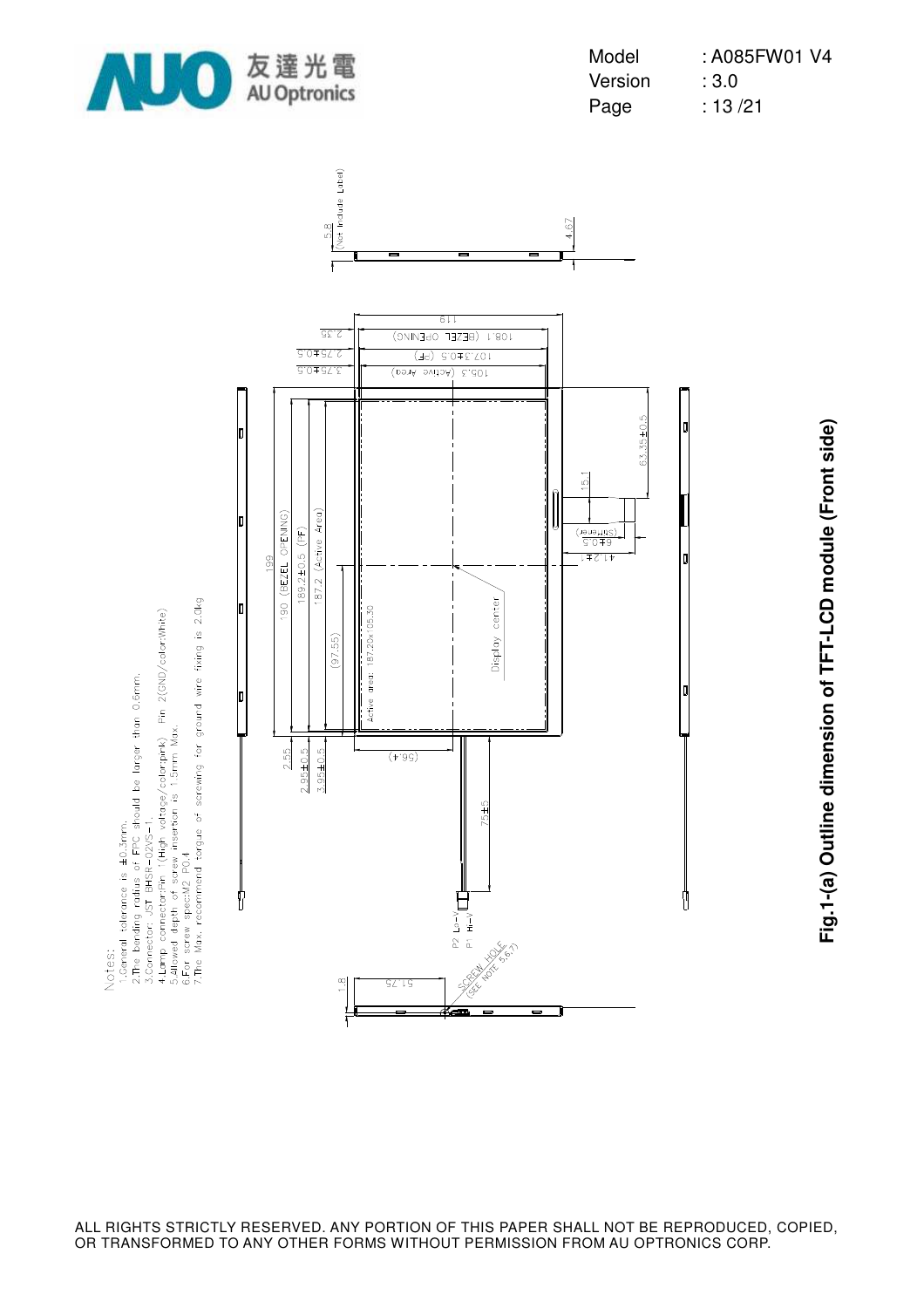

4.Lamp connector:Pin T(High voltage/color:pink) Pin 2(GND/color:White)<br>5.Allowed depth of screw insertion is 1.5mm Max.<br>6.For screw spec:N2 PO.4<br>7.The Max. recommend torgue of screwing for ground wire fixing is 2.0kg

1.General tolerance is ±0.3mm.<br>2.The bending radius of FPC should be larger than 0.6mm.<br>3.Connector: JST BHSR-02VS-1.

Notes:



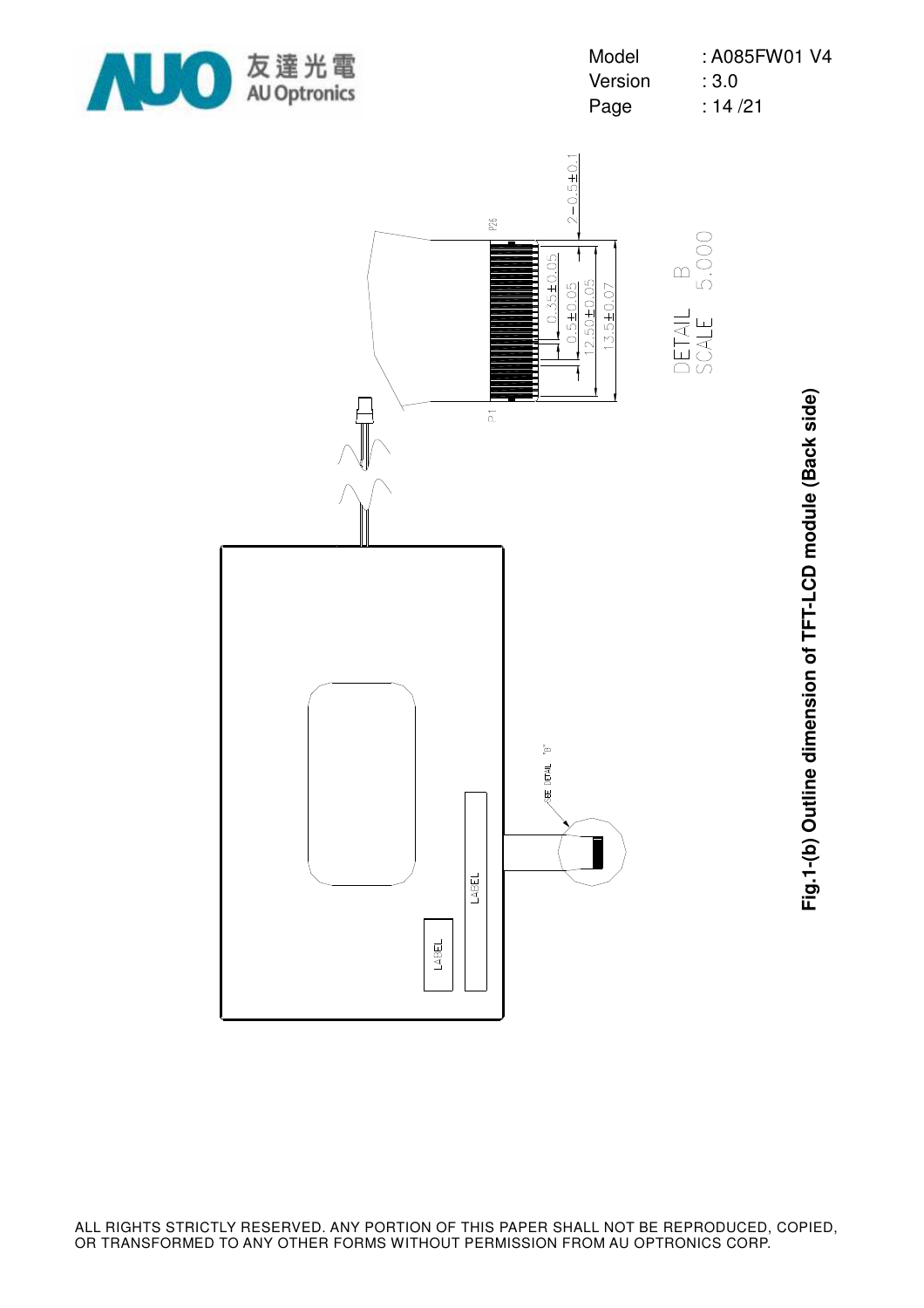



**Fig.1-(b) Outline dimension of TFT-LCD module (Back side)** Fig.1-(b) Outline dimension of TFT-LCD module (Back side)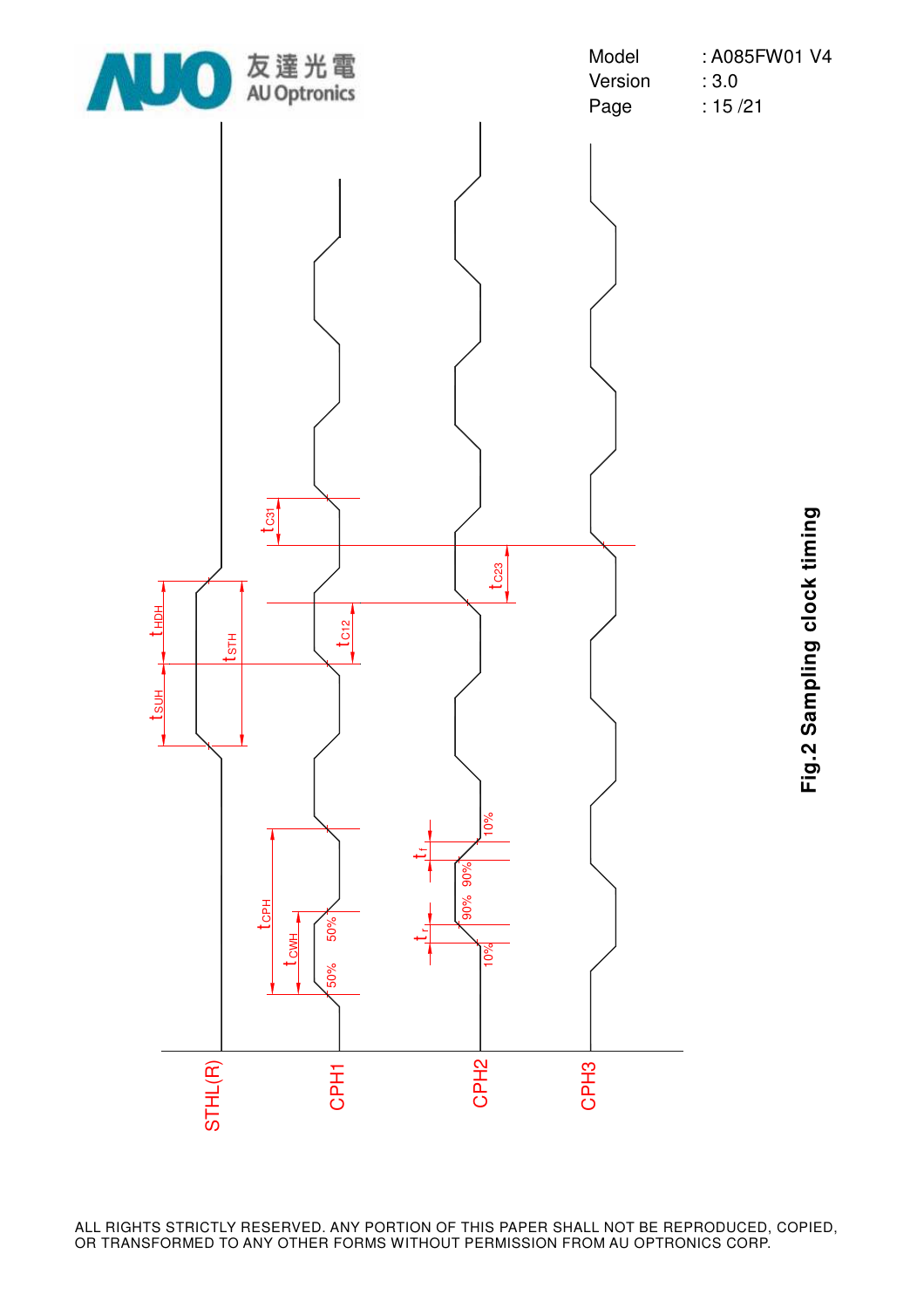

**Fig.2 Sampling clock timing** Fig.2 Sampling clock timing

ALL RIGHTS STRICTLY RESERVED. ANY PORTION OF THIS PAPER SHALL NOT BE REPRODUCED, COPIED, OR TRANSFORMED TO ANY OTHER FORMS WITHOUT PERMISSION FROM AU OPTRONICS CORP.

 $\mathbf{\mathsf{C}}$ ڢ Ŧ.  $\boldsymbol{\alpha}$   $\mathbf{\circ}$ به H ო

 $\Xi$ 工 L(R)

 $\mathbf{\circ}$ ڢ  $\Xi$ 

ىب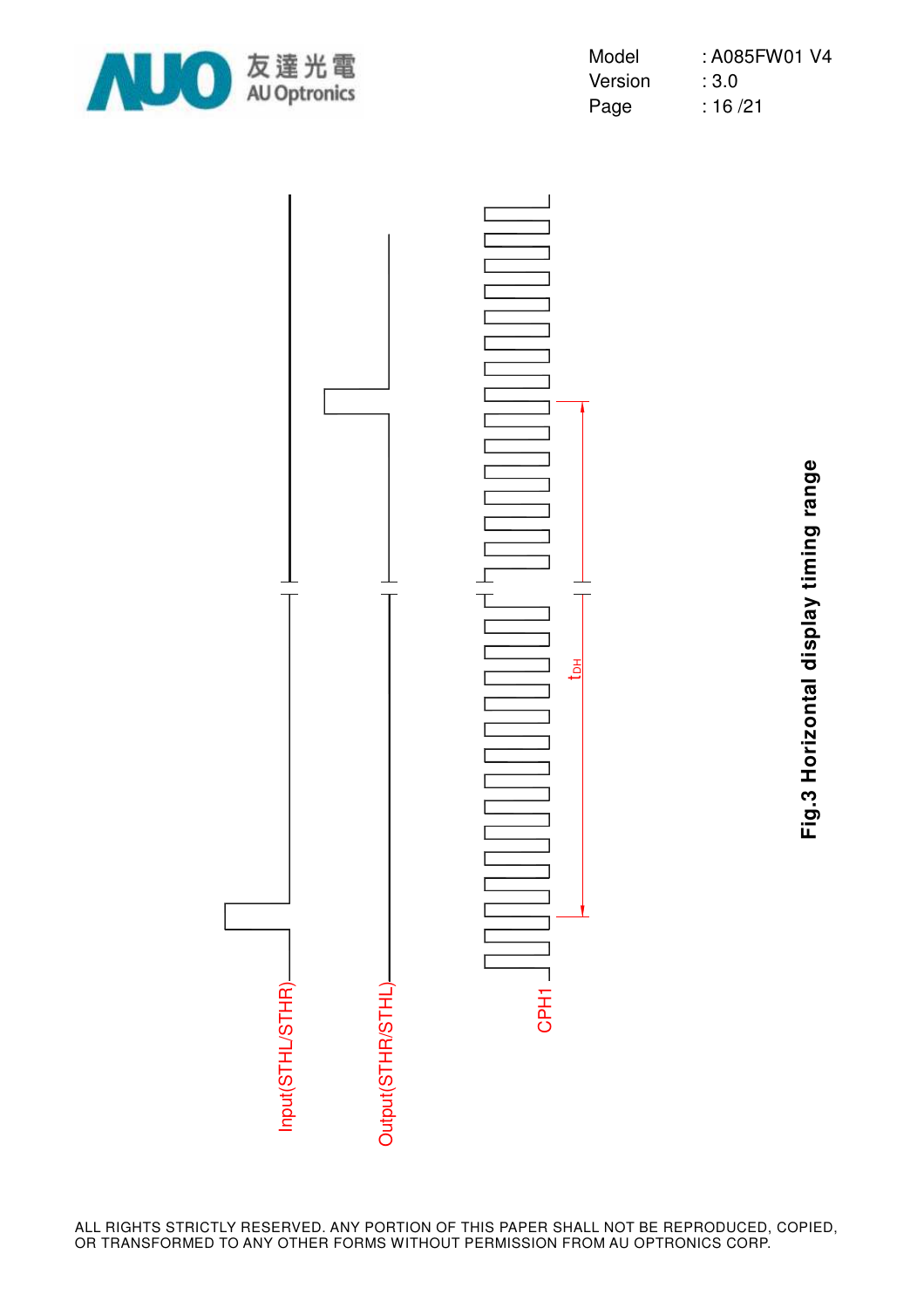

| Model   | : A085FW01 V4 |
|---------|---------------|
| Version | :3.0          |
| Page    | : 16/21       |



**Fig.3 Horizontal display timing range** Fig.3 Horizontal display timing range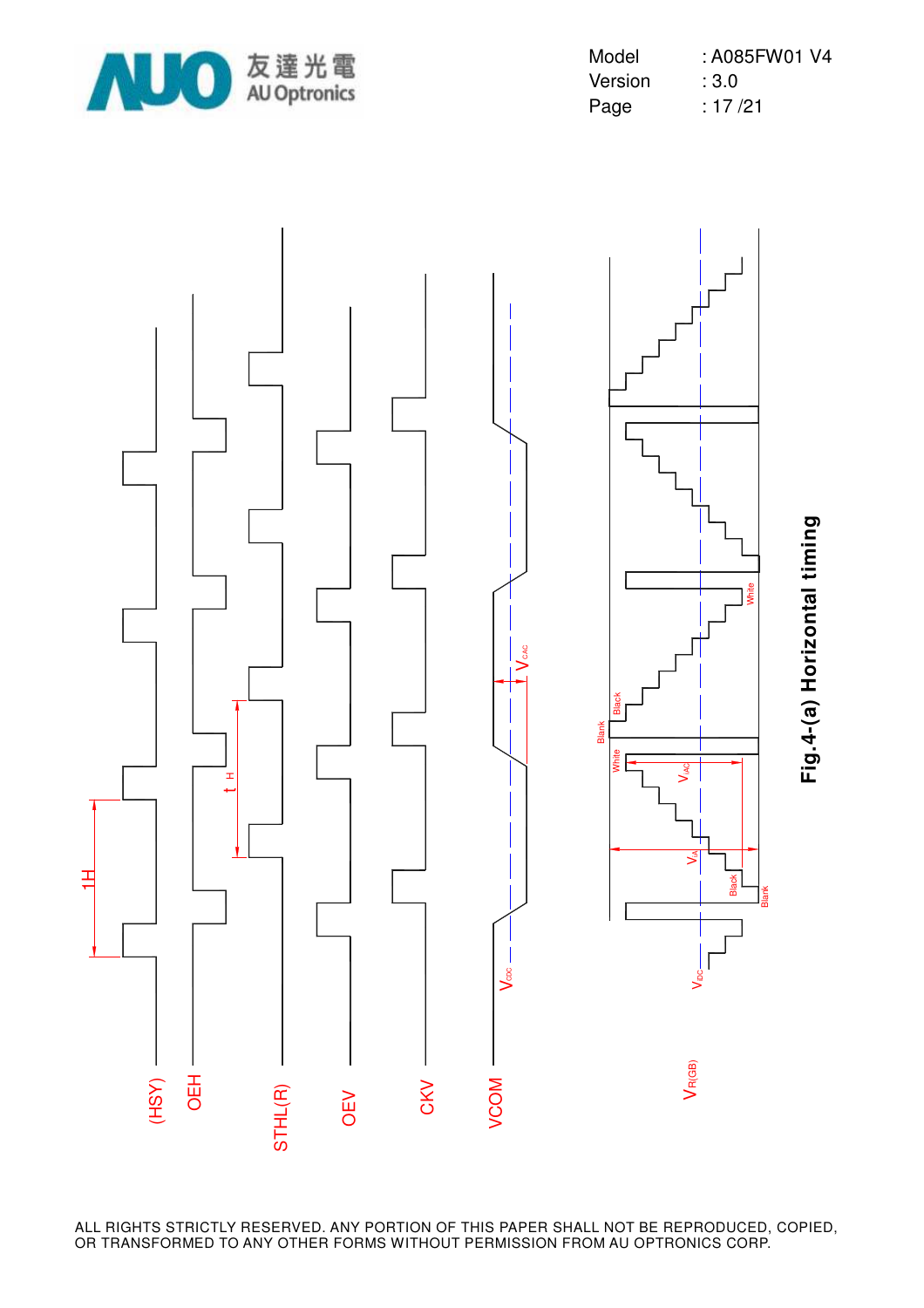

| Model   | : A085FW01 V4 |
|---------|---------------|
| Version | : 3.0         |
| Page    | : 17 /21      |

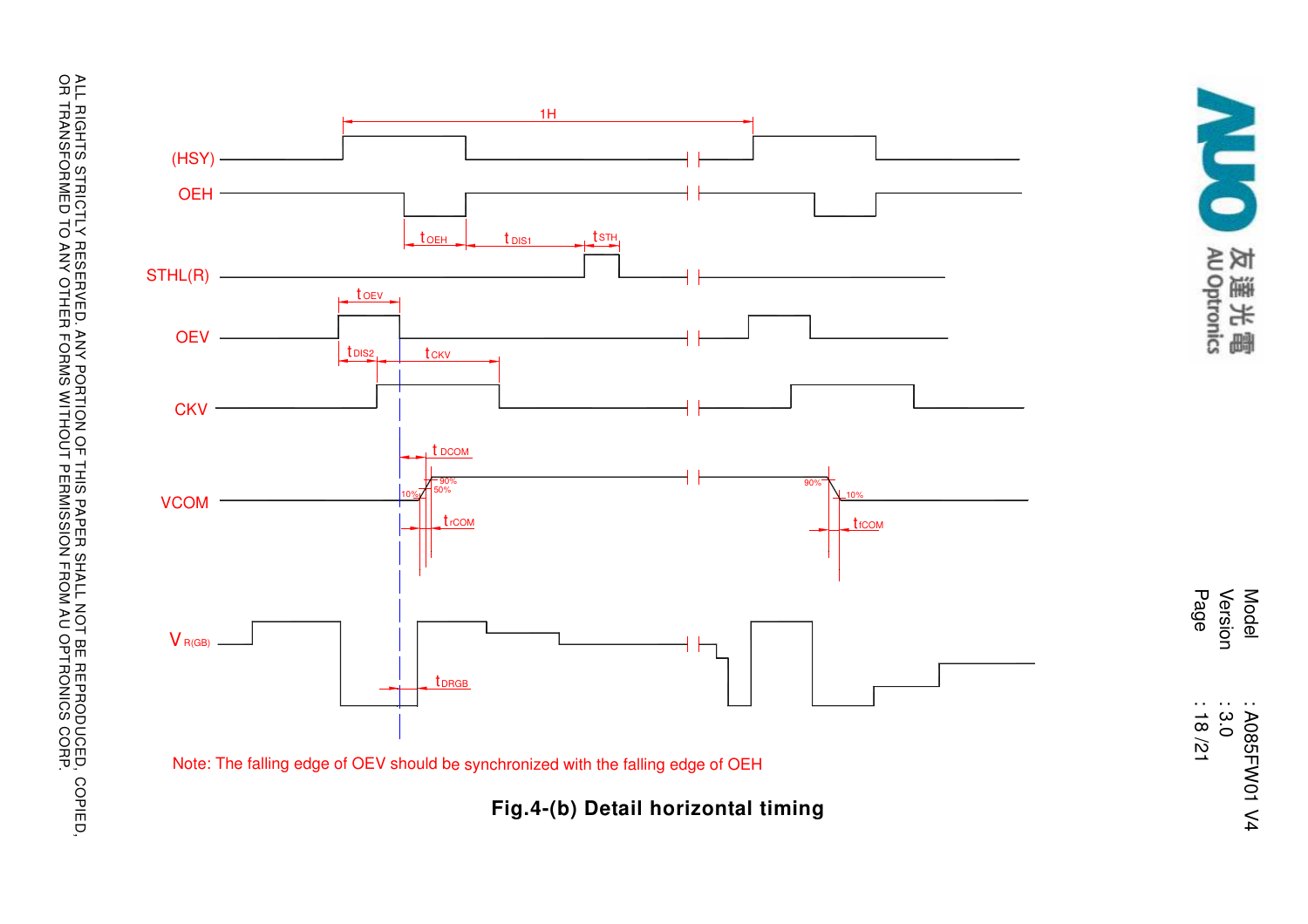



Version Page Page : 18 /21 Model : A085FW01 V4 : A085FW01 V4<br>: 3.0 : 18/21

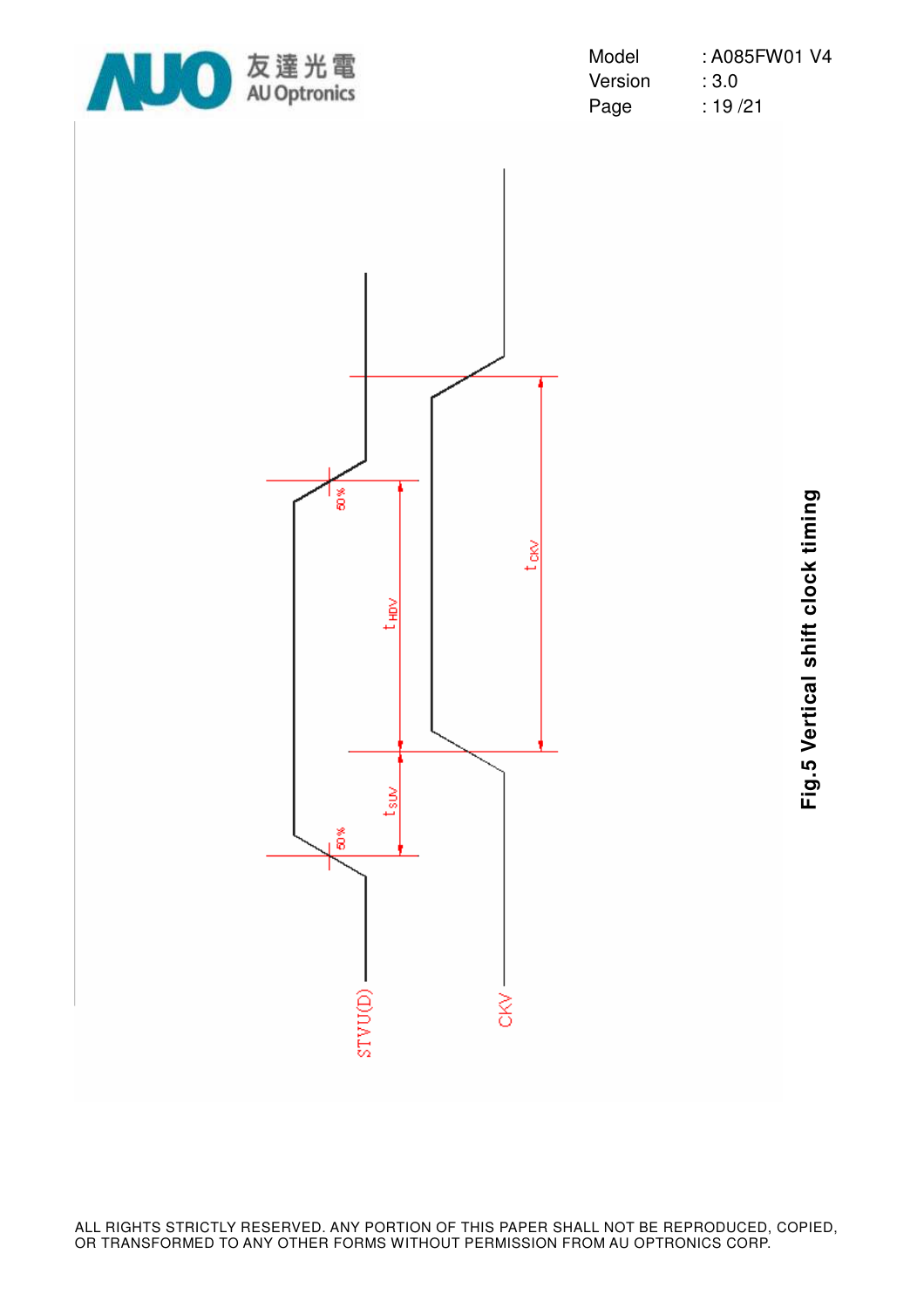

| Model   | : A085FW01 V4 |
|---------|---------------|
| Version | : 3.0         |
| Page    | : 19 /21      |



**Fig.5 Vertical shift clock timing** Fig.5 Vertical shift clock timing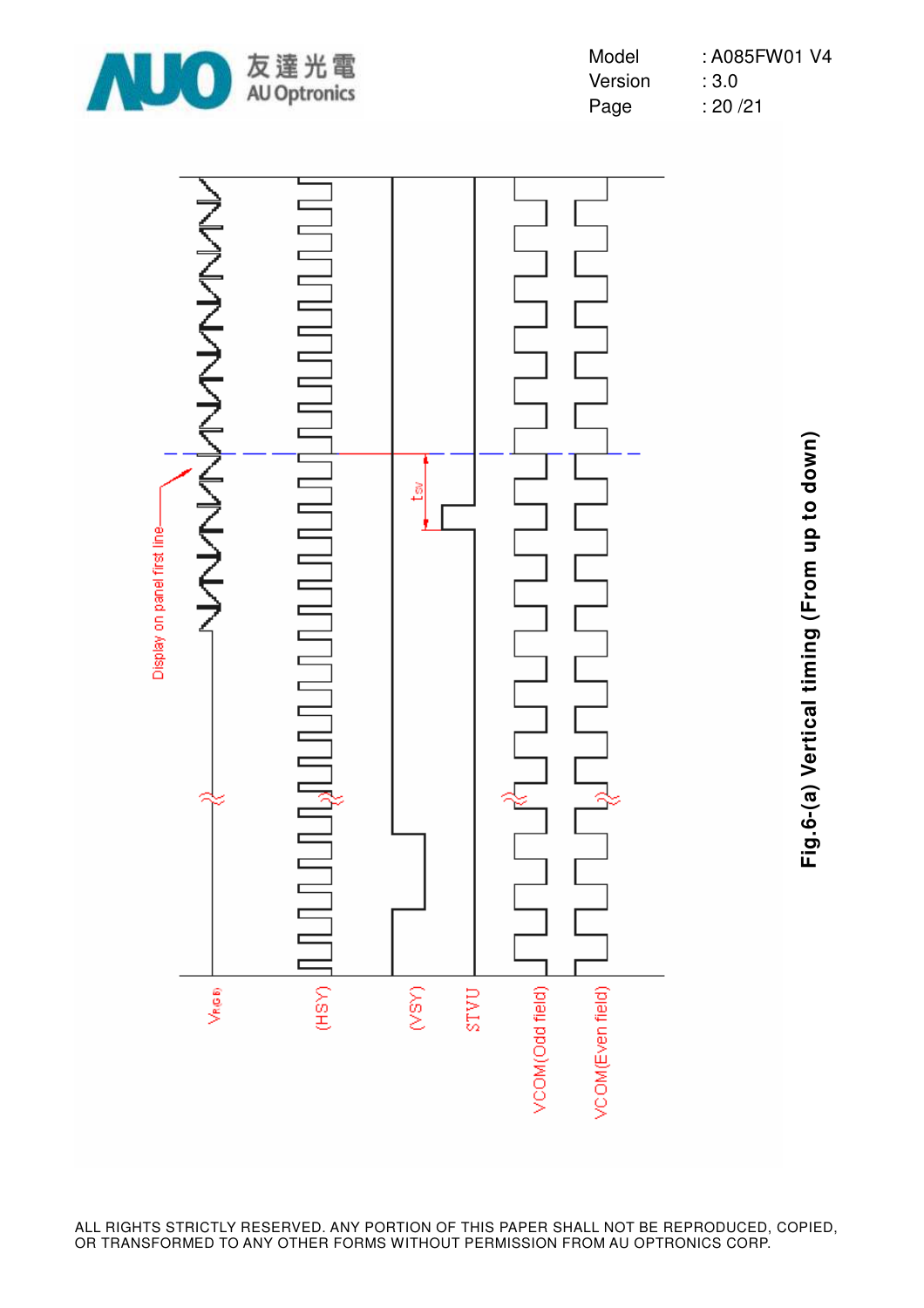